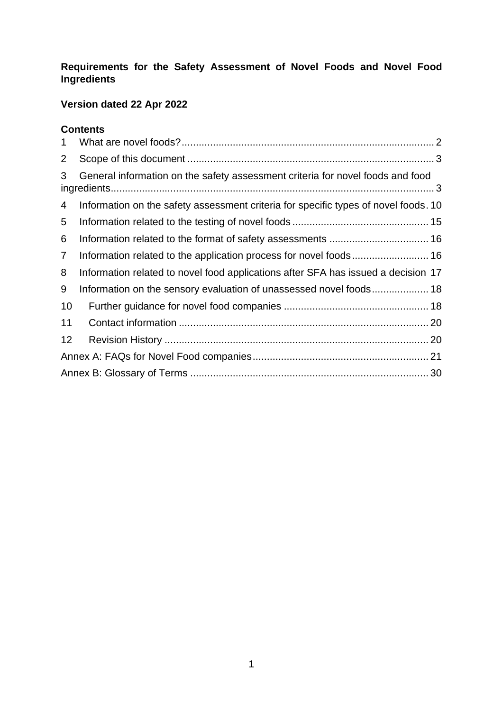# **Requirements for the Safety Assessment of Novel Foods and Novel Food Ingredients**

# **Version dated 22 Apr 2022**

## **Contents**

<span id="page-0-0"></span>

| $\mathbf{1}$   |                                                                                     |  |  |
|----------------|-------------------------------------------------------------------------------------|--|--|
| $\overline{2}$ |                                                                                     |  |  |
| 3              | General information on the safety assessment criteria for novel foods and food      |  |  |
| 4              | Information on the safety assessment criteria for specific types of novel foods. 10 |  |  |
| 5              |                                                                                     |  |  |
| 6              |                                                                                     |  |  |
| $\overline{7}$ |                                                                                     |  |  |
| 8              | Information related to novel food applications after SFA has issued a decision 17   |  |  |
| 9              |                                                                                     |  |  |
| 10             |                                                                                     |  |  |
| 11             |                                                                                     |  |  |
| 12             |                                                                                     |  |  |
|                |                                                                                     |  |  |
|                |                                                                                     |  |  |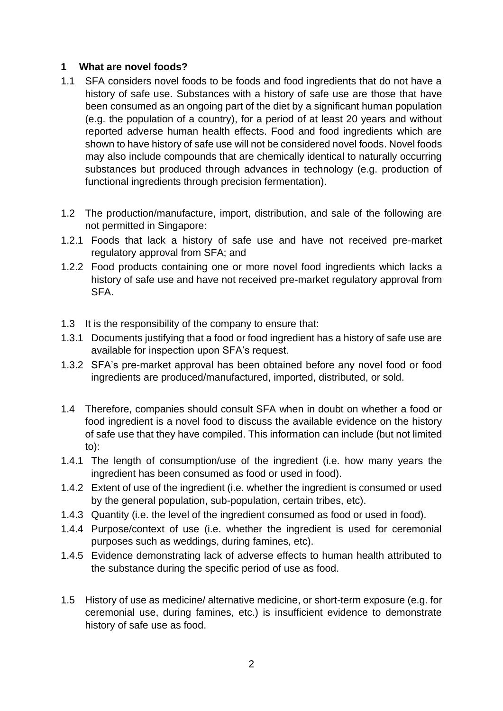#### **1 What are novel foods?**

- 1.1 SFA considers novel foods to be foods and food ingredients that do not have a history of safe use. Substances with a history of safe use are those that have been consumed as an ongoing part of the diet by a significant human population (e.g. the population of a country), for a period of at least 20 years and without reported adverse human health effects. Food and food ingredients which are shown to have history of safe use will not be considered novel foods. Novel foods may also include compounds that are chemically identical to naturally occurring substances but produced through advances in technology (e.g. production of functional ingredients through precision fermentation).
- 1.2 The production/manufacture, import, distribution, and sale of the following are not permitted in Singapore:
- 1.2.1 Foods that lack a history of safe use and have not received pre-market regulatory approval from SFA; and
- 1.2.2 Food products containing one or more novel food ingredients which lacks a history of safe use and have not received pre-market regulatory approval from SFA.
- 1.3 It is the responsibility of the company to ensure that:
- 1.3.1 Documents justifying that a food or food ingredient has a history of safe use are available for inspection upon SFA's request.
- 1.3.2 SFA's pre-market approval has been obtained before any novel food or food ingredients are produced/manufactured, imported, distributed, or sold.
- 1.4 Therefore, companies should consult SFA when in doubt on whether a food or food ingredient is a novel food to discuss the available evidence on the history of safe use that they have compiled. This information can include (but not limited to):
- 1.4.1 The length of consumption/use of the ingredient (i.e. how many years the ingredient has been consumed as food or used in food).
- 1.4.2 Extent of use of the ingredient (i.e. whether the ingredient is consumed or used by the general population, sub-population, certain tribes, etc).
- 1.4.3 Quantity (i.e. the level of the ingredient consumed as food or used in food).
- 1.4.4 Purpose/context of use (i.e. whether the ingredient is used for ceremonial purposes such as weddings, during famines, etc).
- 1.4.5 Evidence demonstrating lack of adverse effects to human health attributed to the substance during the specific period of use as food.
- 1.5 History of use as medicine/ alternative medicine, or short-term exposure (e.g. for ceremonial use, during famines, etc.) is insufficient evidence to demonstrate history of safe use as food.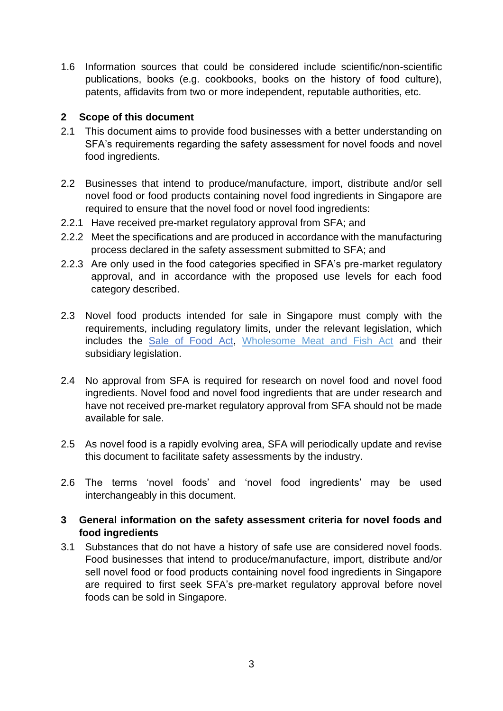1.6 Information sources that could be considered include scientific/non-scientific publications, books (e.g. cookbooks, books on the history of food culture), patents, affidavits from two or more independent, reputable authorities, etc.

## <span id="page-2-0"></span>**2 Scope of this document**

- 2.1 This document aims to provide food businesses with a better understanding on SFA's requirements regarding the safety assessment for novel foods and novel food ingredients.
- 2.2 Businesses that intend to produce/manufacture, import, distribute and/or sell novel food or food products containing novel food ingredients in Singapore are required to ensure that the novel food or novel food ingredients:
- 2.2.1 Have received pre-market regulatory approval from SFA; and
- 2.2.2 Meet the specifications and are produced in accordance with the manufacturing process declared in the safety assessment submitted to SFA; and
- 2.2.3 Are only used in the food categories specified in SFA's pre-market regulatory approval, and in accordance with the proposed use levels for each food category described.
- 2.3 Novel food products intended for sale in Singapore must comply with the requirements, including regulatory limits, under the relevant legislation, which includes the [Sale of Food Act,](https://sso.agc.gov.sg/Act/SFA1973) [Wholesome Meat and Fish Act](https://sso.agc.gov.sg/Act/WMFA1999) and their subsidiary legislation.
- 2.4 No approval from SFA is required for research on novel food and novel food ingredients. Novel food and novel food ingredients that are under research and have not received pre-market regulatory approval from SFA should not be made available for sale.
- 2.5 As novel food is a rapidly evolving area, SFA will periodically update and revise this document to facilitate safety assessments by the industry.
- 2.6 The terms 'novel foods' and 'novel food ingredients' may be used interchangeably in this document.

## <span id="page-2-1"></span>**3 General information on the safety assessment criteria for novel foods and food ingredients**

3.1 Substances that do not have a history of safe use are considered novel foods. Food businesses that intend to produce/manufacture, import, distribute and/or sell novel food or food products containing novel food ingredients in Singapore are required to first seek SFA's pre-market regulatory approval before novel foods can be sold in Singapore.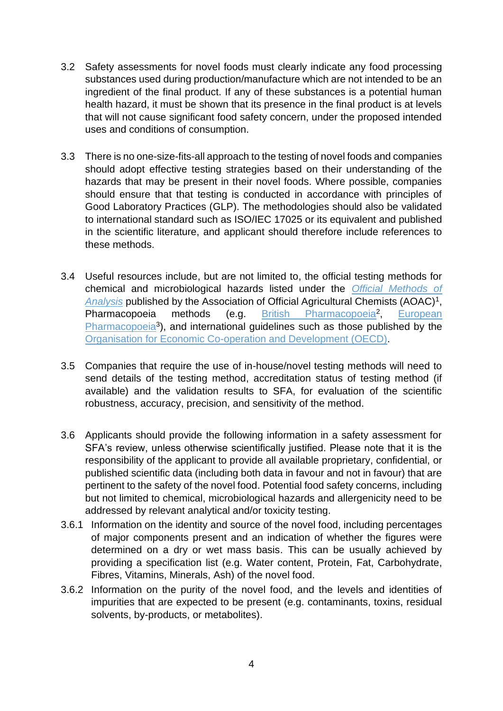- 3.2 Safety assessments for novel foods must clearly indicate any food processing substances used during production/manufacture which are not intended to be an ingredient of the final product. If any of these substances is a potential human health hazard, it must be shown that its presence in the final product is at levels that will not cause significant food safety concern, under the proposed intended uses and conditions of consumption.
- 3.3 There is no one-size-fits-all approach to the testing of novel foods and companies should adopt effective testing strategies based on their understanding of the hazards that may be present in their novel foods. Where possible, companies should ensure that that testing is conducted in accordance with principles of Good Laboratory Practices (GLP). The methodologies should also be validated to international standard such as ISO/IEC 17025 or its equivalent and published in the scientific literature, and applicant should therefore include references to these methods.
- 3.4 Useful resources include, but are not limited to, the official testing methods for chemical and microbiological hazards listed under the *[Official Methods of](https://www.aoac.org/official-methods-of-analysis-21st-edition-2019/)*  [Analysis](https://www.aoac.org/official-methods-of-analysis-21st-edition-2019/) published by the Association of Official Agricultural Chemists (AOAC)<sup>1</sup>, Pharmacopoeia methods (e.g. [British Pharmacopoeia](https://www.pharmacopoeia.com/)<sup>2</sup>, , [European](https://www.edqm.eu/en/european-pharmacopoeia-ph-eur-10th-edition)  [Pharmacopoeia](https://www.edqm.eu/en/european-pharmacopoeia-ph-eur-10th-edition)<sup>3</sup>), and international guidelines such as those published by the [Organisation for Economic Co-operation and Development \(OECD\).](https://www.oecd.org/chemicalsafety/testing/oecdguidelinesforthetestingofchemicals.htm)
- 3.5 Companies that require the use of in-house/novel testing methods will need to send details of the testing method, accreditation status of testing method (if available) and the validation results to SFA, for evaluation of the scientific robustness, accuracy, precision, and sensitivity of the method.
- 3.6 Applicants should provide the following information in a safety assessment for SFA's review, unless otherwise scientifically justified. Please note that it is the responsibility of the applicant to provide all available proprietary, confidential, or published scientific data (including both data in favour and not in favour) that are pertinent to the safety of the novel food. Potential food safety concerns, including but not limited to chemical, microbiological hazards and allergenicity need to be addressed by relevant analytical and/or toxicity testing.
- 3.6.1 Information on the identity and source of the novel food, including percentages of major components present and an indication of whether the figures were determined on a dry or wet mass basis. This can be usually achieved by providing a specification list (e.g. Water content, Protein, Fat, Carbohydrate, Fibres, Vitamins, Minerals, Ash) of the novel food.
- 3.6.2 Information on the purity of the novel food, and the levels and identities of impurities that are expected to be present (e.g. contaminants, toxins, residual solvents, by-products, or metabolites).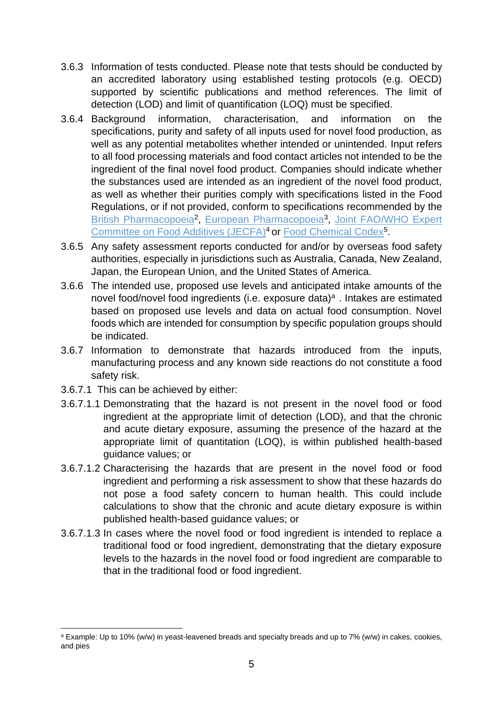- <span id="page-4-0"></span>3.6.3 Information of tests conducted. Please note that tests should be conducted by an accredited laboratory using established testing protocols (e.g. OECD) supported by scientific publications and method references. The limit of detection (LOD) and limit of quantification (LOQ) must be specified.
- <span id="page-4-1"></span>3.6.4 Background information, characterisation, and information on the specifications, purity and safety of all inputs used for novel food production, as well as any potential metabolites whether intended or unintended. Input refers to all food processing materials and food contact articles not intended to be the ingredient of the final novel food product. Companies should indicate whether the substances used are intended as an ingredient of the novel food product, as well as whether their purities comply with specifications listed in the Food Regulations, or if not provided, conform to specifications recommended by the [British Pharmacopoeia](https://www.pharmacopoeia.com/)<sup>2</sup>, [European Pharmacopoeia](https://www.edqm.eu/en/european-pharmacopoeia-ph-eur-10th-edition)<sup>3</sup>, Joint FAO/WHO Expert [Committee on Food Additives \(JECFA\)](https://www.fao.org/food/food-safety-quality/scientific-advice/jecfa/jecfa-additives/en/)<sup>4</sup> or [Food Chemical Codex](https://www.foodchemicalscodex.org/)<sup>5</sup>.
- 3.6.5 Any safety assessment reports conducted for and/or by overseas food safety authorities, especially in jurisdictions such as Australia, Canada, New Zealand, Japan, the European Union, and the United States of America.
- 3.6.6 The intended use, proposed use levels and anticipated intake amounts of the novel food/novel food ingredients (i.e. exposure data)<sup>a</sup>. Intakes are estimated based on proposed use levels and data on actual food consumption. Novel foods which are intended for consumption by specific population groups should be indicated.
- 3.6.7 Information to demonstrate that hazards introduced from the inputs, manufacturing process and any known side reactions do not constitute a food safety risk.
- 3.6.7.1 This can be achieved by either:
- 3.6.7.1.1 Demonstrating that the hazard is not present in the novel food or food ingredient at the appropriate limit of detection (LOD), and that the chronic and acute dietary exposure, assuming the presence of the hazard at the appropriate limit of quantitation (LOQ), is within published health-based guidance values; or
- 3.6.7.1.2 Characterising the hazards that are present in the novel food or food ingredient and performing a risk assessment to show that these hazards do not pose a food safety concern to human health. This could include calculations to show that the chronic and acute dietary exposure is within published health-based guidance values; or
- 3.6.7.1.3 In cases where the novel food or food ingredient is intended to replace a traditional food or food ingredient, demonstrating that the dietary exposure levels to the hazards in the novel food or food ingredient are comparable to that in the traditional food or food ingredient.

<sup>a</sup> Example: Up to 10% (w/w) in yeast-leavened breads and specialty breads and up to 7% (w/w) in cakes, cookies, and pies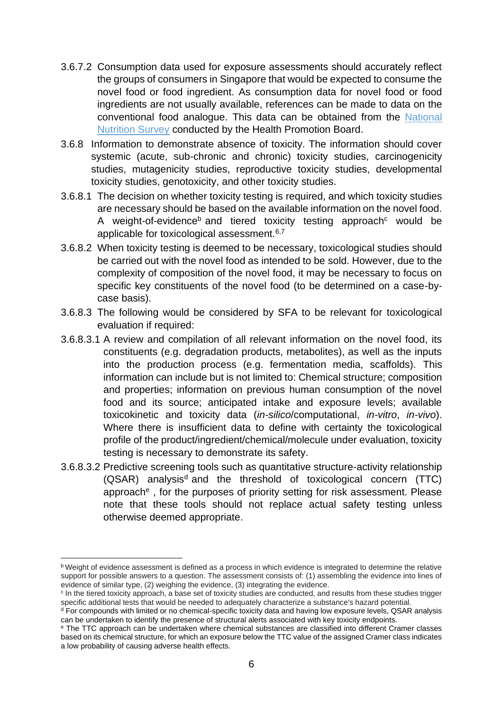- 3.6.7.2 Consumption data used for exposure assessments should accurately reflect the groups of consumers in Singapore that would be expected to consume the novel food or food ingredient. As consumption data for novel food or food ingredients are not usually available, references can be made to data on the conventional food analogue. This data can be obtained from the [National](https://www.hpb.gov.sg/workplace/workplace-programmes/useful-information-for-organisations/national-reports-and-surveys)  [Nutrition Survey](https://www.hpb.gov.sg/workplace/workplace-programmes/useful-information-for-organisations/national-reports-and-surveys) conducted by the Health Promotion Board.
- 3.6.8 Information to demonstrate absence of toxicity. The information should cover systemic (acute, sub-chronic and chronic) toxicity studies, carcinogenicity studies, mutagenicity studies, reproductive toxicity studies, developmental toxicity studies, genotoxicity, and other toxicity studies.
- 3.6.8.1 The decision on whether toxicity testing is required, and which toxicity studies are necessary should be based on the available information on the novel food. A weight-of-evidence<sup>b</sup> and tiered toxicity testing approach<sup>c</sup> would be applicable for toxicological assessment.<sup>6,7</sup>
- 3.6.8.2 When toxicity testing is deemed to be necessary, toxicological studies should be carried out with the novel food as intended to be sold. However, due to the complexity of composition of the novel food, it may be necessary to focus on specific key constituents of the novel food (to be determined on a case-bycase basis).
- 3.6.8.3 The following would be considered by SFA to be relevant for toxicological evaluation if required:
- 3.6.8.3.1 A review and compilation of all relevant information on the novel food, its constituents (e.g. degradation products, metabolites), as well as the inputs into the production process (e.g. fermentation media, scaffolds). This information can include but is not limited to: Chemical structure; composition and properties; information on previous human consumption of the novel food and its source; anticipated intake and exposure levels; available toxicokinetic and toxicity data (*in-silico*/computational, *in-vitro*, *in-vivo*). Where there is insufficient data to define with certainty the toxicological profile of the product/ingredient/chemical/molecule under evaluation, toxicity testing is necessary to demonstrate its safety.
- 3.6.8.3.2 Predictive screening tools such as quantitative structure-activity relationship (QSAR) analysis<sup>d</sup> and the threshold of toxicological concern (TTC) approach<sup>e</sup>, for the purposes of priority setting for risk assessment. Please note that these tools should not replace actual safety testing unless otherwise deemed appropriate.

**b** Weight of evidence assessment is defined as a process in which evidence is integrated to determine the relative support for possible answers to a question. The assessment consists of: (1) assembling the evidence into lines of evidence of similar type, (2) weighing the evidence, (3) integrating the evidence.

<sup>&</sup>lt;sup>c</sup> In the tiered toxicity approach, a base set of toxicity studies are conducted, and results from these studies trigger specific additional tests that would be needed to adequately characterize a substance's hazard potential.

<sup>d</sup> For compounds with limited or no chemical-specific toxicity data and having low exposure levels, QSAR analysis can be undertaken to identify the presence of structural alerts associated with key toxicity endpoints.

<sup>e</sup> The TTC approach can be undertaken where chemical substances are classified into different Cramer classes based on its chemical structure, for which an exposure below the TTC value of the assigned Cramer class indicates a low probability of causing adverse health effects.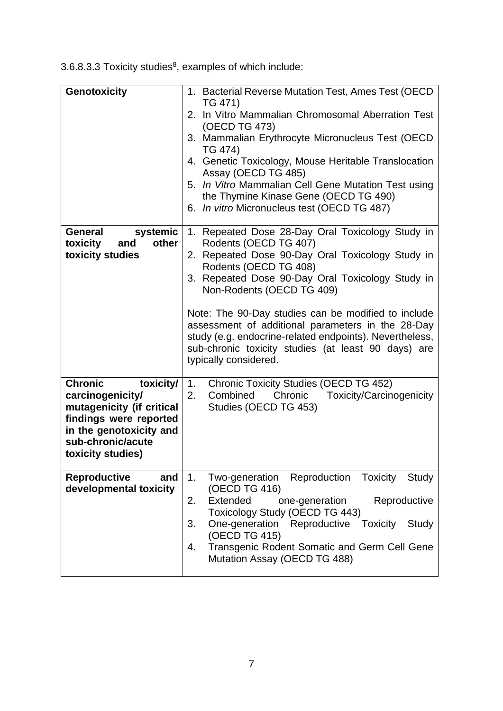| <b>Genotoxicity</b>                                                                                                                                                         | 1. Bacterial Reverse Mutation Test, Ames Test (OECD)<br>TG 471)<br>2. In Vitro Mammalian Chromosomal Aberration Test<br>(OECD TG 473)<br>3. Mammalian Erythrocyte Micronucleus Test (OECD<br>TG 474)<br>4. Genetic Toxicology, Mouse Heritable Translocation<br>Assay (OECD TG 485)<br>5. In Vitro Mammalian Cell Gene Mutation Test using<br>the Thymine Kinase Gene (OECD TG 490)<br>6. In vitro Micronucleus test (OECD TG 487)                                                             |
|-----------------------------------------------------------------------------------------------------------------------------------------------------------------------------|------------------------------------------------------------------------------------------------------------------------------------------------------------------------------------------------------------------------------------------------------------------------------------------------------------------------------------------------------------------------------------------------------------------------------------------------------------------------------------------------|
| General<br>systemic<br>other<br>toxicity<br>and<br>toxicity studies                                                                                                         | 1. Repeated Dose 28-Day Oral Toxicology Study in<br>Rodents (OECD TG 407)<br>2. Repeated Dose 90-Day Oral Toxicology Study in<br>Rodents (OECD TG 408)<br>3. Repeated Dose 90-Day Oral Toxicology Study in<br>Non-Rodents (OECD TG 409)<br>Note: The 90-Day studies can be modified to include<br>assessment of additional parameters in the 28-Day<br>study (e.g. endocrine-related endpoints). Nevertheless,<br>sub-chronic toxicity studies (at least 90 days) are<br>typically considered. |
| <b>Chronic</b><br>toxicity/<br>carcinogenicity/<br>mutagenicity (if critical<br>findings were reported<br>in the genotoxicity and<br>sub-chronic/acute<br>toxicity studies) | <b>Chronic Toxicity Studies (OECD TG 452)</b><br>1.<br>2.<br>Combined<br>Chronic Toxicity/Carcinogenicity<br>Studies (OECD TG 453)                                                                                                                                                                                                                                                                                                                                                             |
| <b>Reproductive</b><br>and<br>developmental toxicity                                                                                                                        | 1.<br>Reproduction Toxicity<br>Two-generation<br>Study<br>(OECD TG 416)<br>Extended<br>2.<br>one-generation<br>Reproductive<br>Toxicology Study (OECD TG 443)<br>One-generation<br>Reproductive Toxicity<br>3.<br>Study<br>(OECD TG 415)<br>Transgenic Rodent Somatic and Germ Cell Gene<br>4.<br>Mutation Assay (OECD TG 488)                                                                                                                                                                 |

3.6.8.3.3 Toxicity studies $8$ , examples of which include: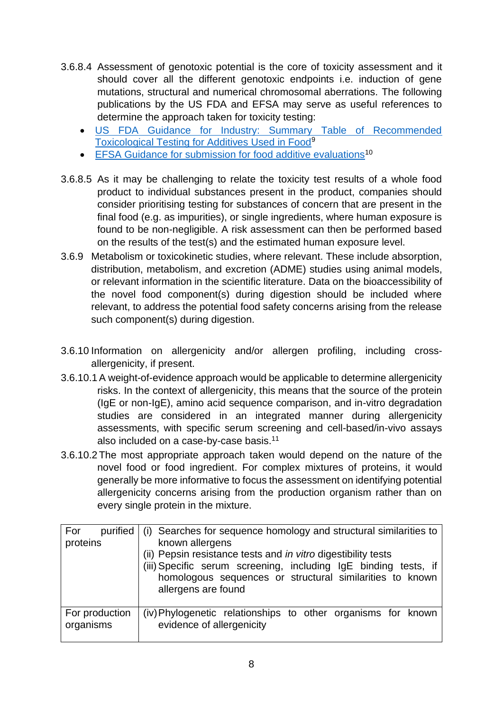- 3.6.8.4 Assessment of genotoxic potential is the core of toxicity assessment and it should cover all the different genotoxic endpoints i.e. induction of gene mutations, structural and numerical chromosomal aberrations. The following publications by the US FDA and EFSA may serve as useful references to determine the approach taken for toxicity testing:
	- [US FDA Guidance for Industry: Summary Table of Recommended](https://www.fda.gov/regulatory-information/search-fda-guidance-documents/guidance-industry-summary-table-recommended-toxicological-testing-additives-used-food)  [Toxicological Testing for Additives Used in Food](https://www.fda.gov/regulatory-information/search-fda-guidance-documents/guidance-industry-summary-table-recommended-toxicological-testing-additives-used-food)<sup>9</sup>
	- [EFSA Guidance for submission for food additive evaluations](https://www.efsa.europa.eu/en/efsajournal/pub/2760)<sup>10</sup>
- 3.6.8.5 As it may be challenging to relate the toxicity test results of a whole food product to individual substances present in the product, companies should consider prioritising testing for substances of concern that are present in the final food (e.g. as impurities), or single ingredients, where human exposure is found to be non-negligible. A risk assessment can then be performed based on the results of the test(s) and the estimated human exposure level.
- 3.6.9 Metabolism or toxicokinetic studies, where relevant. These include absorption, distribution, metabolism, and excretion (ADME) studies using animal models, or relevant information in the scientific literature. Data on the bioaccessibility of the novel food component(s) during digestion should be included where relevant, to address the potential food safety concerns arising from the release such component(s) during digestion.
- 3.6.10 Information on allergenicity and/or allergen profiling, including crossallergenicity, if present.
- 3.6.10.1A weight-of-evidence approach would be applicable to determine allergenicity risks. In the context of allergenicity, this means that the source of the protein (IgE or non-IgE), amino acid sequence comparison, and in-vitro degradation studies are considered in an integrated manner during allergenicity assessments, with specific serum screening and cell-based/in-vivo assays also included on a case-by-case basis.<sup>11</sup>
- 3.6.10.2 The most appropriate approach taken would depend on the nature of the novel food or food ingredient. For complex mixtures of proteins, it would generally be more informative to focus the assessment on identifying potential allergenicity concerns arising from the production organism rather than on every single protein in the mixture.

| For<br>purified<br>proteins | (i) Searches for sequence homology and structural similarities to<br>known allergens                                                                                                                                       |
|-----------------------------|----------------------------------------------------------------------------------------------------------------------------------------------------------------------------------------------------------------------------|
|                             | (ii) Pepsin resistance tests and <i>in vitro</i> digestibility tests<br>(iii) Specific serum screening, including IgE binding tests, if<br>homologous sequences or structural similarities to known<br>allergens are found |
| For production<br>organisms | (iv) Phylogenetic relationships to other organisms for known<br>evidence of allergenicity                                                                                                                                  |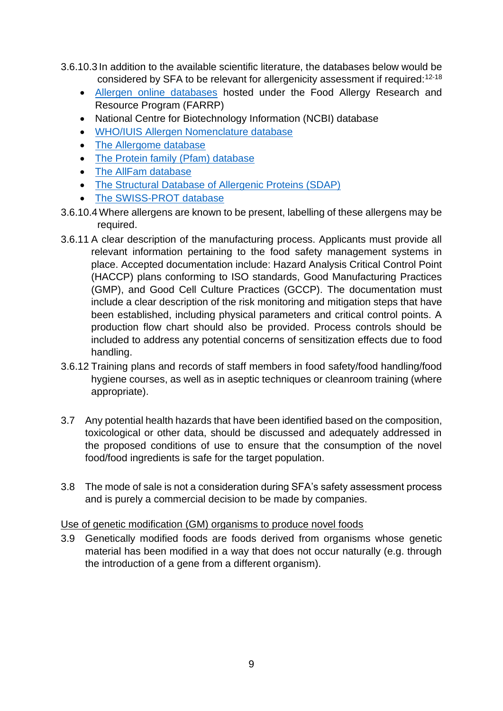- 3.6.10.3 In addition to the available scientific literature, the databases below would be considered by SFA to be relevant for allergenicity assessment if required:<sup>12-18</sup>
	- [Allergen online databases](https://farrp.unl.edu/resources/farrp-databases) hosted under the Food Allergy Research and Resource Program (FARRP)
	- National Centre for Biotechnology Information (NCBI) database
	- [WHO/IUIS Allergen Nomenclature database](http://allergen.org/)
	- [The Allergome database](http://www.allergome.org/)
	- [The Protein family \(Pfam\) database](http://pfam.xfam.org/)
	- [The AllFam database](http://www.meduniwien.ac.at/allfam/)
	- [The Structural Database of Allergenic Proteins \(SDAP\)](https://fermi.utmb.edu/)
	- [The SWISS-PROT database](https://www.uniprot.org/uniprot/)
- 3.6.10.4 Where allergens are known to be present, labelling of these allergens may be required.
- <span id="page-8-0"></span>3.6.11 A clear description of the manufacturing process. Applicants must provide all relevant information pertaining to the food safety management systems in place. Accepted documentation include: Hazard Analysis Critical Control Point (HACCP) plans conforming to ISO standards, Good Manufacturing Practices (GMP), and Good Cell Culture Practices (GCCP). The documentation must include a clear description of the risk monitoring and mitigation steps that have been established, including physical parameters and critical control points. A production flow chart should also be provided. Process controls should be included to address any potential concerns of sensitization effects due to food handling.
- 3.6.12 Training plans and records of staff members in food safety/food handling/food hygiene courses, as well as in aseptic techniques or cleanroom training (where appropriate).
- 3.7 Any potential health hazards that have been identified based on the composition, toxicological or other data, should be discussed and adequately addressed in the proposed conditions of use to ensure that the consumption of the novel food/food ingredients is safe for the target population.
- 3.8 The mode of sale is not a consideration during SFA's safety assessment process and is purely a commercial decision to be made by companies.

#### Use of genetic modification (GM) organisms to produce novel foods

3.9 Genetically modified foods are foods derived from organisms whose genetic material has been modified in a way that does not occur naturally (e.g. through the introduction of a gene from a different organism).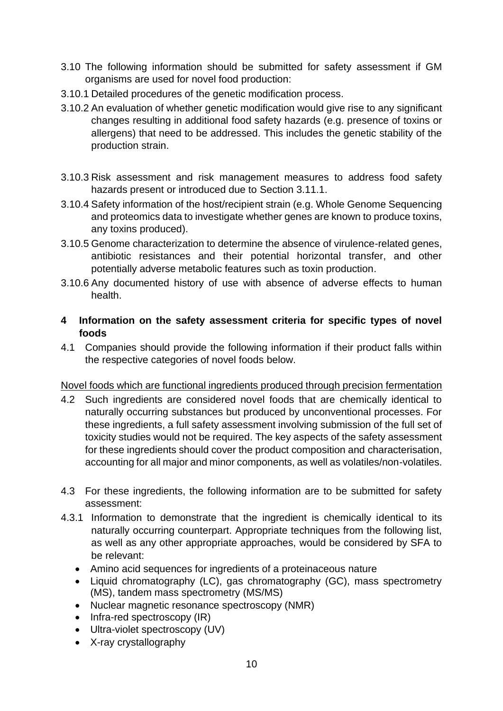- <span id="page-9-1"></span>3.10 The following information should be submitted for safety assessment if GM organisms are used for novel food production:
- 3.10.1 Detailed procedures of the genetic modification process.
- 3.10.2 An evaluation of whether genetic modification would give rise to any significant changes resulting in additional food safety hazards (e.g. presence of toxins or allergens) that need to be addressed. This includes the genetic stability of the production strain.
- 3.10.3 Risk assessment and risk management measures to address food safety hazards present or introduced due to Section 3.11.1.
- 3.10.4 Safety information of the host/recipient strain (e.g. Whole Genome Sequencing and proteomics data to investigate whether genes are known to produce toxins, any toxins produced).
- 3.10.5 Genome characterization to determine the absence of virulence-related genes, antibiotic resistances and their potential horizontal transfer, and other potentially adverse metabolic features such as toxin production.
- 3.10.6 Any documented history of use with absence of adverse effects to human health.
- <span id="page-9-0"></span>**4 Information on the safety assessment criteria for specific types of novel foods**
- 4.1 Companies should provide the following information if their product falls within the respective categories of novel foods below.

## Novel foods which are functional ingredients produced through precision fermentation

- 4.2 Such ingredients are considered novel foods that are chemically identical to naturally occurring substances but produced by unconventional processes. For these ingredients, a full safety assessment involving submission of the full set of toxicity studies would not be required. The key aspects of the safety assessment for these ingredients should cover the product composition and characterisation, accounting for all major and minor components, as well as volatiles/non-volatiles.
- 4.3 For these ingredients, the following information are to be submitted for safety assessment:
- 4.3.1 Information to demonstrate that the ingredient is chemically identical to its naturally occurring counterpart. Appropriate techniques from the following list, as well as any other appropriate approaches, would be considered by SFA to be relevant:
	- Amino acid sequences for ingredients of a proteinaceous nature
	- Liquid chromatography (LC), gas chromatography (GC), mass spectrometry (MS), tandem mass spectrometry (MS/MS)
	- Nuclear magnetic resonance spectroscopy (NMR)
	- Infra-red spectroscopy (IR)
	- Ultra-violet spectroscopy (UV)
	- X-ray crystallography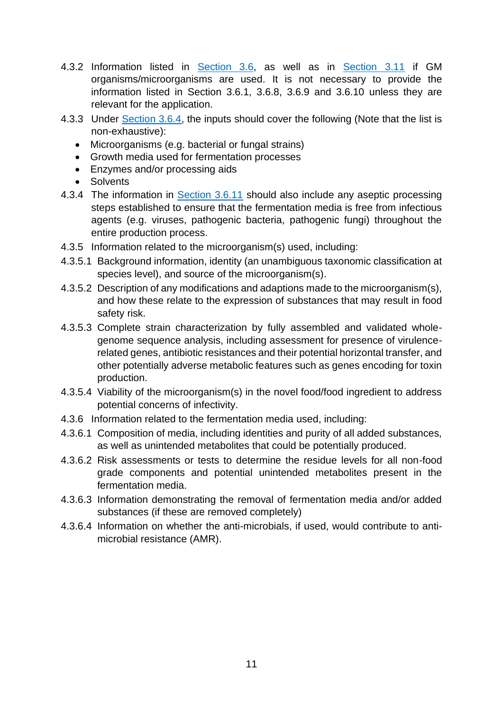- 4.3.2 Information listed in [Section 3.6,](#page-4-0) as well as in [Section 3.11](#page-9-1) if GM organisms/microorganisms are used. It is not necessary to provide the information listed in Section 3.6.1, 3.6.8, 3.6.9 and 3.6.10 unless they are relevant for the application.
- 4.3.3 Under [Section 3.6.4,](#page-4-1) the inputs should cover the following (Note that the list is non-exhaustive):
	- Microorganisms (e.g. bacterial or fungal strains)
	- Growth media used for fermentation processes
	- Enzymes and/or processing aids
	- Solvents
- 4.3.4 The information in [Section 3.6.11](#page-8-0) should also include any aseptic processing steps established to ensure that the fermentation media is free from infectious agents (e.g. viruses, pathogenic bacteria, pathogenic fungi) throughout the entire production process.
- 4.3.5 Information related to the microorganism(s) used, including:
- 4.3.5.1 Background information, identity (an unambiguous taxonomic classification at species level), and source of the microorganism(s).
- 4.3.5.2 Description of any modifications and adaptions made to the microorganism(s), and how these relate to the expression of substances that may result in food safety risk.
- 4.3.5.3 Complete strain characterization by fully assembled and validated wholegenome sequence analysis, including assessment for presence of virulencerelated genes, antibiotic resistances and their potential horizontal transfer, and other potentially adverse metabolic features such as genes encoding for toxin production.
- 4.3.5.4 Viability of the microorganism(s) in the novel food/food ingredient to address potential concerns of infectivity.
- 4.3.6 Information related to the fermentation media used, including:
- 4.3.6.1 Composition of media, including identities and purity of all added substances, as well as unintended metabolites that could be potentially produced.
- 4.3.6.2 Risk assessments or tests to determine the residue levels for all non-food grade components and potential unintended metabolites present in the fermentation media.
- 4.3.6.3 Information demonstrating the removal of fermentation media and/or added substances (if these are removed completely)
- 4.3.6.4 Information on whether the anti-microbials, if used, would contribute to antimicrobial resistance (AMR).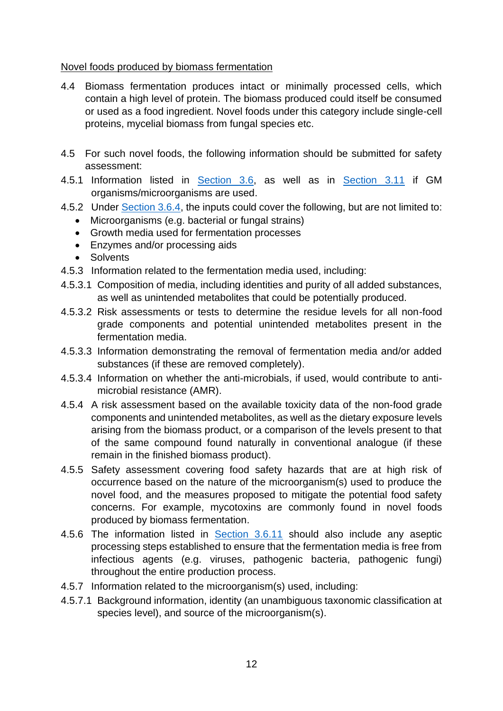#### Novel foods produced by biomass fermentation

- 4.4 Biomass fermentation produces intact or minimally processed cells, which contain a high level of protein. The biomass produced could itself be consumed or used as a food ingredient. Novel foods under this category include single-cell proteins, mycelial biomass from fungal species etc.
- 4.5 For such novel foods, the following information should be submitted for safety assessment:
- 4.5.1 Information listed in [Section 3.6,](#page-4-0) as well as in [Section 3.11](#page-9-1) if GM organisms/microorganisms are used.
- 4.5.2 Under [Section 3.6.4,](#page-4-1) the inputs could cover the following, but are not limited to:
	- Microorganisms (e.g. bacterial or fungal strains)
	- Growth media used for fermentation processes
	- Enzymes and/or processing aids
	- Solvents
- 4.5.3 Information related to the fermentation media used, including:
- 4.5.3.1 Composition of media, including identities and purity of all added substances, as well as unintended metabolites that could be potentially produced.
- 4.5.3.2 Risk assessments or tests to determine the residue levels for all non-food grade components and potential unintended metabolites present in the fermentation media.
- 4.5.3.3 Information demonstrating the removal of fermentation media and/or added substances (if these are removed completely).
- 4.5.3.4 Information on whether the anti-microbials, if used, would contribute to antimicrobial resistance (AMR).
- 4.5.4 A risk assessment based on the available toxicity data of the non-food grade components and unintended metabolites, as well as the dietary exposure levels arising from the biomass product, or a comparison of the levels present to that of the same compound found naturally in conventional analogue (if these remain in the finished biomass product).
- 4.5.5 Safety assessment covering food safety hazards that are at high risk of occurrence based on the nature of the microorganism(s) used to produce the novel food, and the measures proposed to mitigate the potential food safety concerns. For example, mycotoxins are commonly found in novel foods produced by biomass fermentation.
- 4.5.6 The information listed in [Section 3.6.11](#page-8-0) should also include any aseptic processing steps established to ensure that the fermentation media is free from infectious agents (e.g. viruses, pathogenic bacteria, pathogenic fungi) throughout the entire production process.
- 4.5.7 Information related to the microorganism(s) used, including:
- 4.5.7.1 Background information, identity (an unambiguous taxonomic classification at species level), and source of the microorganism(s).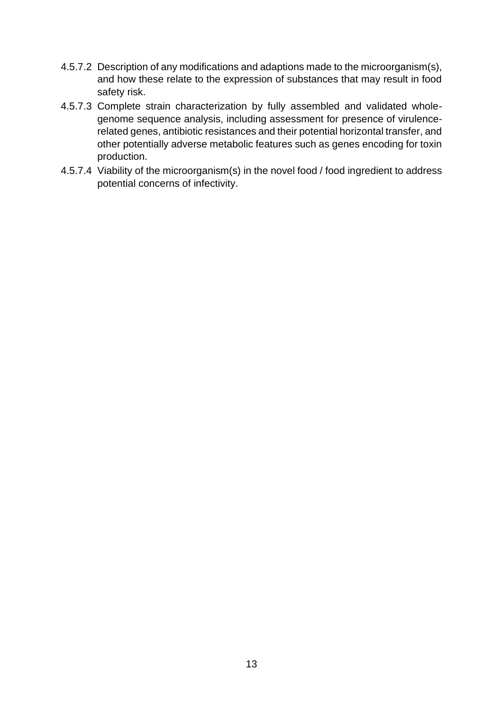- 4.5.7.2 Description of any modifications and adaptions made to the microorganism(s), and how these relate to the expression of substances that may result in food safety risk.
- 4.5.7.3 Complete strain characterization by fully assembled and validated wholegenome sequence analysis, including assessment for presence of virulencerelated genes, antibiotic resistances and their potential horizontal transfer, and other potentially adverse metabolic features such as genes encoding for toxin production.
- 4.5.7.4 Viability of the microorganism(s) in the novel food / food ingredient to address potential concerns of infectivity.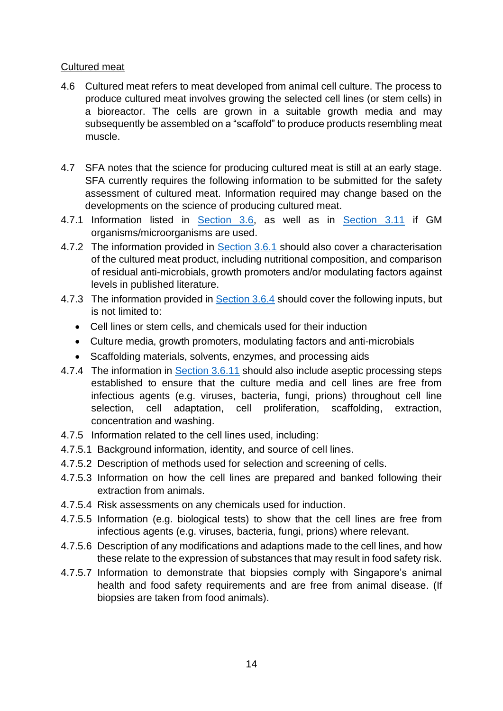#### Cultured meat

- 4.6 Cultured meat refers to meat developed from animal cell culture. The process to produce cultured meat involves growing the selected cell lines (or stem cells) in a bioreactor. The cells are grown in a suitable growth media and may subsequently be assembled on a "scaffold" to produce products resembling meat muscle.
- 4.7 SFA notes that the science for producing cultured meat is still at an early stage. SFA currently requires the following information to be submitted for the safety assessment of cultured meat. Information required may change based on the developments on the science of producing cultured meat.
- 4.7.1 Information listed in [Section 3.6,](#page-4-0) as well as in [Section 3.11](#page-9-1) if GM organisms/microorganisms are used.
- 4.7.2 The information provided in [Section 3.6.1](#page-4-0) should also cover a characterisation of the cultured meat product, including nutritional composition, and comparison of residual anti-microbials, growth promoters and/or modulating factors against levels in published literature.
- 4.7.3 The information provided in [Section 3.6.4](#page-4-1) should cover the following inputs, but is not limited to:
	- Cell lines or stem cells, and chemicals used for their induction
	- Culture media, growth promoters, modulating factors and anti-microbials
	- Scaffolding materials, solvents, enzymes, and processing aids
- 4.7.4 The information in [Section 3.6.11](#page-8-0) should also include aseptic processing steps established to ensure that the culture media and cell lines are free from infectious agents (e.g. viruses, bacteria, fungi, prions) throughout cell line selection, cell adaptation, cell proliferation, scaffolding, extraction, concentration and washing.
- 4.7.5 Information related to the cell lines used, including:
- 4.7.5.1 Background information, identity, and source of cell lines.
- 4.7.5.2 Description of methods used for selection and screening of cells.
- 4.7.5.3 Information on how the cell lines are prepared and banked following their extraction from animals.
- 4.7.5.4 Risk assessments on any chemicals used for induction.
- 4.7.5.5 Information (e.g. biological tests) to show that the cell lines are free from infectious agents (e.g. viruses, bacteria, fungi, prions) where relevant.
- 4.7.5.6 Description of any modifications and adaptions made to the cell lines, and how these relate to the expression of substances that may result in food safety risk.
- 4.7.5.7 Information to demonstrate that biopsies comply with Singapore's animal health and food safety requirements and are free from animal disease. (If biopsies are taken from food animals).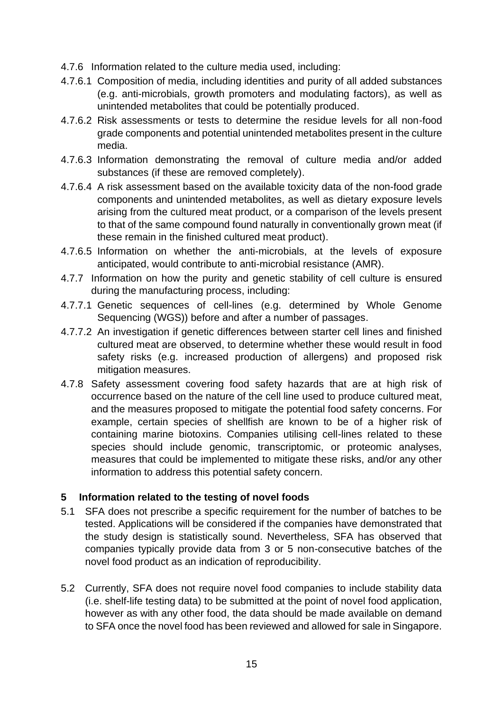- 4.7.6 Information related to the culture media used, including:
- 4.7.6.1 Composition of media, including identities and purity of all added substances (e.g. anti-microbials, growth promoters and modulating factors), as well as unintended metabolites that could be potentially produced.
- 4.7.6.2 Risk assessments or tests to determine the residue levels for all non-food grade components and potential unintended metabolites present in the culture media.
- 4.7.6.3 Information demonstrating the removal of culture media and/or added substances (if these are removed completely).
- 4.7.6.4 A risk assessment based on the available toxicity data of the non-food grade components and unintended metabolites, as well as dietary exposure levels arising from the cultured meat product, or a comparison of the levels present to that of the same compound found naturally in conventionally grown meat (if these remain in the finished cultured meat product).
- 4.7.6.5 Information on whether the anti-microbials, at the levels of exposure anticipated, would contribute to anti-microbial resistance (AMR).
- 4.7.7 Information on how the purity and genetic stability of cell culture is ensured during the manufacturing process, including:
- 4.7.7.1 Genetic sequences of cell-lines (e.g. determined by Whole Genome Sequencing (WGS)) before and after a number of passages.
- 4.7.7.2 An investigation if genetic differences between starter cell lines and finished cultured meat are observed, to determine whether these would result in food safety risks (e.g. increased production of allergens) and proposed risk mitigation measures.
- 4.7.8 Safety assessment covering food safety hazards that are at high risk of occurrence based on the nature of the cell line used to produce cultured meat, and the measures proposed to mitigate the potential food safety concerns. For example, certain species of shellfish are known to be of a higher risk of containing marine biotoxins. Companies utilising cell-lines related to these species should include genomic, transcriptomic, or proteomic analyses, measures that could be implemented to mitigate these risks, and/or any other information to address this potential safety concern.

#### <span id="page-14-0"></span>**5 Information related to the testing of novel foods**

- 5.1 SFA does not prescribe a specific requirement for the number of batches to be tested. Applications will be considered if the companies have demonstrated that the study design is statistically sound. Nevertheless, SFA has observed that companies typically provide data from 3 or 5 non-consecutive batches of the novel food product as an indication of reproducibility.
- 5.2 Currently, SFA does not require novel food companies to include stability data (i.e. shelf-life testing data) to be submitted at the point of novel food application, however as with any other food, the data should be made available on demand to SFA once the novel food has been reviewed and allowed for sale in Singapore.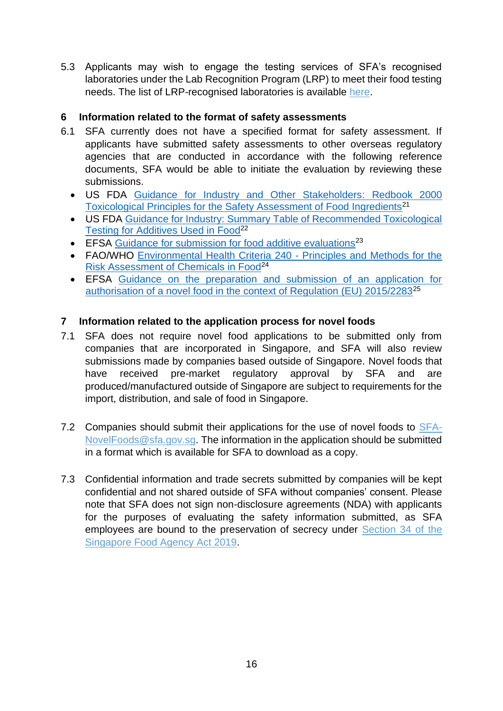5.3 Applicants may wish to engage the testing services of SFA's recognised laboratories under the Lab Recognition Program (LRP) to meet their food testing needs. The list of LRP-recognised laboratories is available [here.](https://www.sfa.gov.sg/food-information/laboratory-recognition-programme/recognised-laboratories)

## <span id="page-15-0"></span>**6 Information related to the format of safety assessments**

- 6.1 SFA currently does not have a specified format for safety assessment. If applicants have submitted safety assessments to other overseas regulatory agencies that are conducted in accordance with the following reference documents, SFA would be able to initiate the evaluation by reviewing these submissions.
	- US FDA [Guidance for Industry and Other Stakeholders:](https://www.fda.gov/regulatory-information/search-fda-guidance-documents/guidance-industry-and-other-stakeholders-redbook-2000) Redbook 2000 [Toxicological Principles for the Safety Assessment of Food Ingredients](https://www.fda.gov/regulatory-information/search-fda-guidance-documents/guidance-industry-and-other-stakeholders-redbook-2000)<sup>21</sup>
	- US FDA [Guidance for Industry: Summary Table of Recommended Toxicological](https://www.fda.gov/regulatory-information/search-fda-guidance-documents/guidance-industry-summary-table-recommended-toxicological-testing-additives-used-food)  [Testing for Additives Used in Food](https://www.fda.gov/regulatory-information/search-fda-guidance-documents/guidance-industry-summary-table-recommended-toxicological-testing-additives-used-food)<sup>22</sup>
	- EFSA [Guidance for submission for food additive evaluations](https://www.efsa.europa.eu/en/efsajournal/pub/2760)<sup>23</sup>
	- FAO/WHO [Environmental Health Criteria 240 -](https://www.who.int/publications/i/item/9789241572408) Principles and Methods for the [Risk Assessment of Chemicals in Food](https://www.who.int/publications/i/item/9789241572408)<sup>24</sup>
	- EFSA [Guidance on the preparation and submission of an application for](https://www.efsa.europa.eu/en/efsajournal/pub/6555)  [authorisation of a novel food in the context of Regulation \(EU\) 2015/2283](https://www.efsa.europa.eu/en/efsajournal/pub/6555)<sup>25</sup>

## <span id="page-15-1"></span>**7 Information related to the application process for novel foods**

- 7.1 SFA does not require novel food applications to be submitted only from companies that are incorporated in Singapore, and SFA will also review submissions made by companies based outside of Singapore. Novel foods that have received pre-market regulatory approval by SFA and are produced/manufactured outside of Singapore are subject to requirements for the import, distribution, and sale of food in Singapore.
- 7.2 Companies should submit their applications for the use of novel foods to [SFA-](mailto:SFA-NovelFoods@sfa.gov.sg)[NovelFoods@sfa.gov.sg.](mailto:SFA-NovelFoods@sfa.gov.sg) The information in the application should be submitted in a format which is available for SFA to download as a copy.
- 7.3 Confidential information and trade secrets submitted by companies will be kept confidential and not shared outside of SFA without companies' consent. Please note that SFA does not sign non-disclosure agreements (NDA) with applicants for the purposes of evaluating the safety information submitted, as SFA employees are bound to the preservation of secrecy under [Section 34 of the](https://sso.agc.gov.sg/Acts-Supp/11-2019/Published?DocDate=20190318&ProvIds=pr34-)  [Singapore Food Agency Act 2019.](https://sso.agc.gov.sg/Acts-Supp/11-2019/Published?DocDate=20190318&ProvIds=pr34-)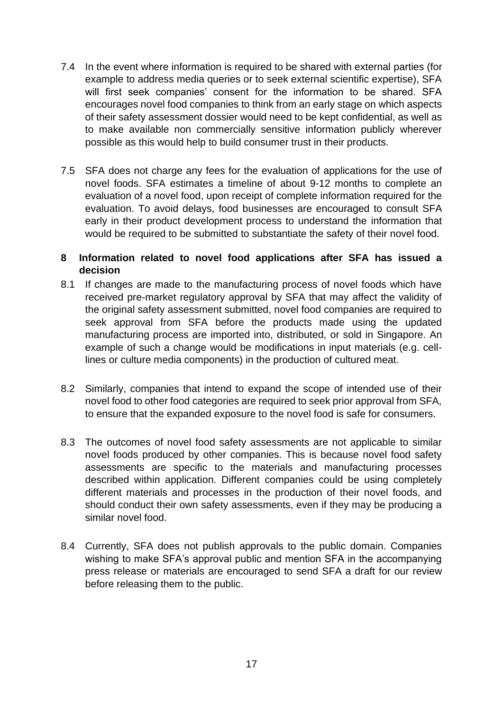- 7.4 In the event where information is required to be shared with external parties (for example to address media queries or to seek external scientific expertise), SFA will first seek companies' consent for the information to be shared. SFA encourages novel food companies to think from an early stage on which aspects of their safety assessment dossier would need to be kept confidential, as well as to make available non commercially sensitive information publicly wherever possible as this would help to build consumer trust in their products.
- 7.5 SFA does not charge any fees for the evaluation of applications for the use of novel foods. SFA estimates a timeline of about 9-12 months to complete an evaluation of a novel food, upon receipt of complete information required for the evaluation. To avoid delays, food businesses are encouraged to consult SFA early in their product development process to understand the information that would be required to be submitted to substantiate the safety of their novel food.

#### <span id="page-16-0"></span>**8 Information related to novel food applications after SFA has issued a decision**

- 8.1 If changes are made to the manufacturing process of novel foods which have received pre-market regulatory approval by SFA that may affect the validity of the original safety assessment submitted, novel food companies are required to seek approval from SFA before the products made using the updated manufacturing process are imported into, distributed, or sold in Singapore. An example of such a change would be modifications in input materials (e.g. celllines or culture media components) in the production of cultured meat.
- 8.2 Similarly, companies that intend to expand the scope of intended use of their novel food to other food categories are required to seek prior approval from SFA, to ensure that the expanded exposure to the novel food is safe for consumers.
- 8.3 The outcomes of novel food safety assessments are not applicable to similar novel foods produced by other companies. This is because novel food safety assessments are specific to the materials and manufacturing processes described within application. Different companies could be using completely different materials and processes in the production of their novel foods, and should conduct their own safety assessments, even if they may be producing a similar novel food.
- 8.4 Currently, SFA does not publish approvals to the public domain. Companies wishing to make SFA's approval public and mention SFA in the accompanying press release or materials are encouraged to send SFA a draft for our review before releasing them to the public.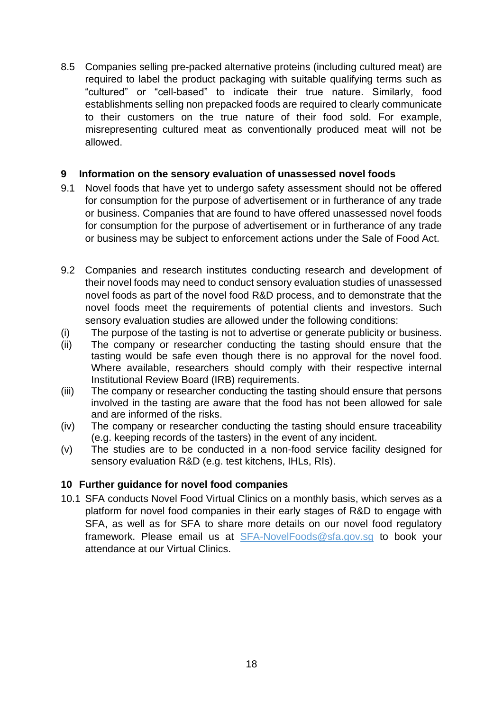8.5 Companies selling pre-packed alternative proteins (including cultured meat) are required to label the product packaging with suitable qualifying terms such as "cultured" or "cell-based" to indicate their true nature. Similarly, food establishments selling non prepacked foods are required to clearly communicate to their customers on the true nature of their food sold. For example, misrepresenting cultured meat as conventionally produced meat will not be allowed.

## <span id="page-17-0"></span>**9 Information on the sensory evaluation of unassessed novel foods**

- 9.1 Novel foods that have yet to undergo safety assessment should not be offered for consumption for the purpose of advertisement or in furtherance of any trade or business. Companies that are found to have offered unassessed novel foods for consumption for the purpose of advertisement or in furtherance of any trade or business may be subject to enforcement actions under the Sale of Food Act.
- 9.2 Companies and research institutes conducting research and development of their novel foods may need to conduct sensory evaluation studies of unassessed novel foods as part of the novel food R&D process, and to demonstrate that the novel foods meet the requirements of potential clients and investors. Such sensory evaluation studies are allowed under the following conditions:
- (i) The purpose of the tasting is not to advertise or generate publicity or business.
- (ii) The company or researcher conducting the tasting should ensure that the tasting would be safe even though there is no approval for the novel food. Where available, researchers should comply with their respective internal Institutional Review Board (IRB) requirements.
- (iii) The company or researcher conducting the tasting should ensure that persons involved in the tasting are aware that the food has not been allowed for sale and are informed of the risks.
- (iv) The company or researcher conducting the tasting should ensure traceability (e.g. keeping records of the tasters) in the event of any incident.
- (v) The studies are to be conducted in a non-food service facility designed for sensory evaluation R&D (e.g. test kitchens, IHLs, RIs).

## <span id="page-17-1"></span>**10 Further guidance for novel food companies**

10.1 SFA conducts Novel Food Virtual Clinics on a monthly basis, which serves as a platform for novel food companies in their early stages of R&D to engage with SFA, as well as for SFA to share more details on our novel food regulatory framework. Please email us at [SFA-NovelFoods@sfa.gov.sg](mailto:SFA-NovelFoods@sfa.gov.sg) to book your attendance at our Virtual Clinics.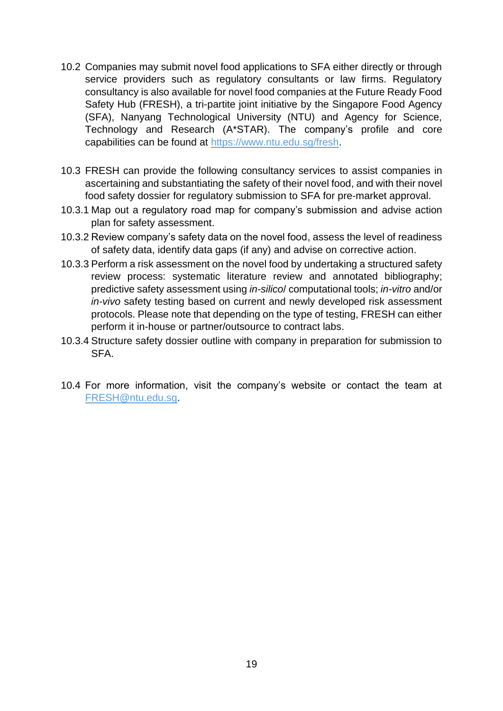- 10.2 Companies may submit novel food applications to SFA either directly or through service providers such as regulatory consultants or law firms. Regulatory consultancy is also available for novel food companies at the Future Ready Food Safety Hub (FRESH), a tri-partite joint initiative by the Singapore Food Agency (SFA), Nanyang Technological University (NTU) and Agency for Science, Technology and Research (A\*STAR). The company's profile and core capabilities can be found at [https://www.ntu.edu.sg/fresh.](https://www.ntu.edu.sg/fresh)
- 10.3 FRESH can provide the following consultancy services to assist companies in ascertaining and substantiating the safety of their novel food, and with their novel food safety dossier for regulatory submission to SFA for pre-market approval.
- 10.3.1 Map out a regulatory road map for company's submission and advise action plan for safety assessment.
- 10.3.2 Review company's safety data on the novel food, assess the level of readiness of safety data, identify data gaps (if any) and advise on corrective action.
- 10.3.3 Perform a risk assessment on the novel food by undertaking a structured safety review process: systematic literature review and annotated bibliography; predictive safety assessment using *in-silico*/ computational tools; *in-vitro* and/or *in-vivo* safety testing based on current and newly developed risk assessment protocols. Please note that depending on the type of testing, FRESH can either perform it in-house or partner/outsource to contract labs.
- 10.3.4 Structure safety dossier outline with company in preparation for submission to SFA.
- 10.4 For more information, visit the company's website or contact the team at [FRESH@ntu.edu.sg.](mailto:FRESH@ntu.edu.sg)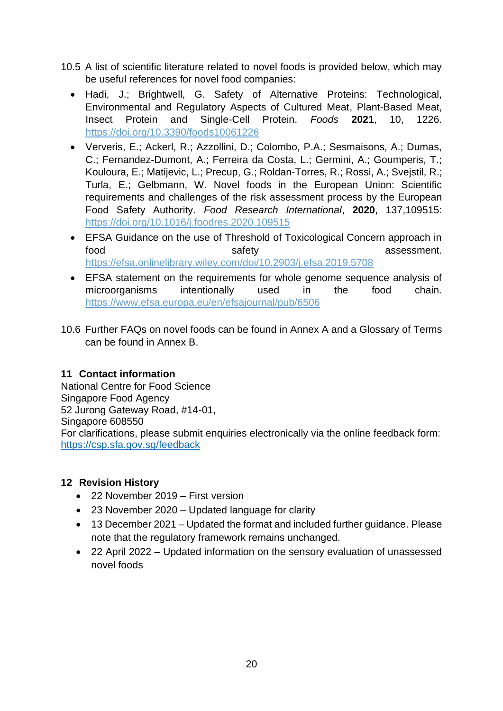- 10.5 A list of scientific literature related to novel foods is provided below, which may be useful references for novel food companies:
	- Hadi, J.; Brightwell, G. Safety of Alternative Proteins: Technological, Environmental and Regulatory Aspects of Cultured Meat, Plant-Based Meat, Insect Protein and Single-Cell Protein. *Foods* **2021**, 10, 1226. <https://doi.org/10.3390/foods10061226>
	- Ververis, E.; Ackerl, R.; Azzollini, D.; Colombo, P.A.; Sesmaisons, A.; Dumas, C.; Fernandez-Dumont, A.; Ferreira da Costa, L.; Germini, A.; Goumperis, T.; Kouloura, E.; Matijevic, L.; Precup, G.; Roldan-Torres, R.; Rossi, A.; Svejstil, R.; Turla, E.; Gelbmann, W. Novel foods in the European Union: Scientific requirements and challenges of the risk assessment process by the European Food Safety Authority. *Food Research International*, **2020**, 137,109515: <https://doi.org/10.1016/j.foodres.2020.109515>
	- EFSA Guidance on the use of Threshold of Toxicological Concern approach in food safety safety assessment. <https://efsa.onlinelibrary.wiley.com/doi/10.2903/j.efsa.2019.5708>
	- EFSA statement on the requirements for whole genome sequence analysis of microorganisms intentionally used in the food chain. <https://www.efsa.europa.eu/en/efsajournal/pub/6506>
- 10.6 Further FAQs on novel foods can be found in Annex A and a Glossary of Terms can be found in Annex B.

## <span id="page-19-0"></span>**11 Contact information**

National Centre for Food Science Singapore Food Agency 52 Jurong Gateway Road, #14-01, Singapore 608550 For clarifications, please submit enquiries electronically via the online feedback form: <https://csp.sfa.gov.sg/feedback>

## <span id="page-19-1"></span>**12 Revision History**

- 22 November 2019 First version
- 23 November 2020 Updated language for clarity
- 13 December 2021 Updated the format and included further guidance. Please note that the regulatory framework remains unchanged.
- 22 April 2022 Updated information on the sensory evaluation of unassessed novel foods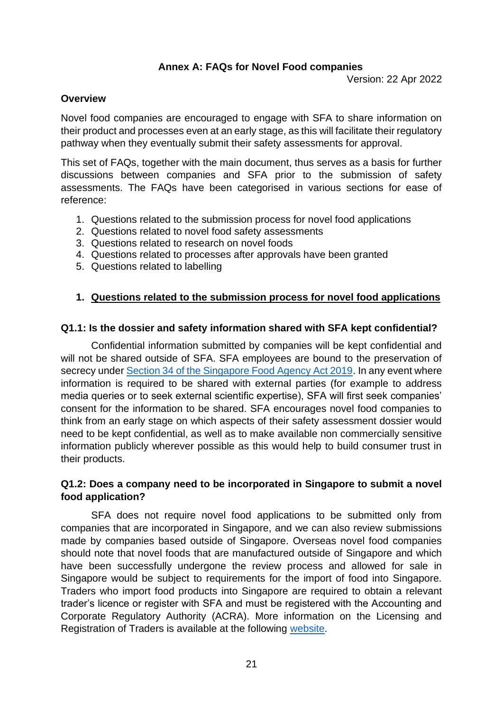#### **Annex A: FAQs for Novel Food companies**

Version: 22 Apr 2022

#### <span id="page-20-0"></span>**Overview**

Novel food companies are encouraged to engage with SFA to share information on their product and processes even at an early stage, as this will facilitate their regulatory pathway when they eventually submit their safety assessments for approval.

This set of FAQs, together with the main document, thus serves as a basis for further discussions between companies and SFA prior to the submission of safety assessments. The FAQs have been categorised in various sections for ease of reference:

- 1. Questions related to the submission process for novel food applications
- 2. Questions related to novel food safety assessments
- 3. Questions related to research on novel foods
- 4. Questions related to processes after approvals have been granted
- 5. Questions related to labelling

#### **1. Questions related to the submission process for novel food applications**

#### **Q1.1: Is the dossier and safety information shared with SFA kept confidential?**

Confidential information submitted by companies will be kept confidential and will not be shared outside of SFA. SFA employees are bound to the preservation of secrecy under [Section 34 of the Singapore Food Agency Act 2019.](https://sso.agc.gov.sg/Acts-Supp/11-2019/Published?DocDate=20190318&ProvIds=pr34-) In any event where information is required to be shared with external parties (for example to address media queries or to seek external scientific expertise), SFA will first seek companies' consent for the information to be shared. SFA encourages novel food companies to think from an early stage on which aspects of their safety assessment dossier would need to be kept confidential, as well as to make available non commercially sensitive information publicly wherever possible as this would help to build consumer trust in their products.

#### **Q1.2: Does a company need to be incorporated in Singapore to submit a novel food application?**

SFA does not require novel food applications to be submitted only from companies that are incorporated in Singapore, and we can also review submissions made by companies based outside of Singapore. Overseas novel food companies should note that novel foods that are manufactured outside of Singapore and which have been successfully undergone the review process and allowed for sale in Singapore would be subject to requirements for the import of food into Singapore. Traders who import food products into Singapore are required to obtain a relevant trader's licence or register with SFA and must be registered with the Accounting and Corporate Regulatory Authority (ACRA). More information on the Licensing and Registration of Traders is available at the following [website.](http://www.sfa.gov.sg/food-import-export/commercial-food-imports)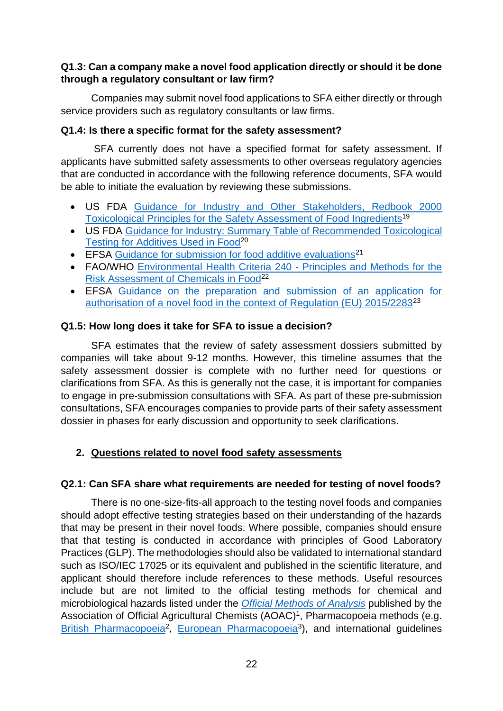#### **Q1.3: Can a company make a novel food application directly or should it be done through a regulatory consultant or law firm?**

Companies may submit novel food applications to SFA either directly or through service providers such as regulatory consultants or law firms.

#### **Q1.4: Is there a specific format for the safety assessment?**

 SFA currently does not have a specified format for safety assessment. If applicants have submitted safety assessments to other overseas regulatory agencies that are conducted in accordance with the following reference documents, SFA would be able to initiate the evaluation by reviewing these submissions.

- US FDA [Guidance for Industry and Other Stakeholders, Redbook 2000](https://www.fda.gov/regulatory-information/search-fda-guidance-documents/guidance-industry-and-other-stakeholders-redbook-2000)  [Toxicological Principles for the Safety Assessment of Food Ingredients](https://www.fda.gov/regulatory-information/search-fda-guidance-documents/guidance-industry-and-other-stakeholders-redbook-2000)<sup>19</sup>
- US FDA [Guidance for Industry: Summary Table of Recommended Toxicological](https://www.fda.gov/regulatory-information/search-fda-guidance-documents/guidance-industry-summary-table-recommended-toxicological-testing-additives-used-food)  [Testing for Additives Used in Food](https://www.fda.gov/regulatory-information/search-fda-guidance-documents/guidance-industry-summary-table-recommended-toxicological-testing-additives-used-food)<sup>20</sup>
- EFSA [Guidance for submission for food additive evaluations](https://www.efsa.europa.eu/en/efsajournal/pub/2760)<sup>21</sup>
- FAO/WHO [Environmental Health Criteria 240 -](https://www.who.int/publications/i/item/9789241572408) Principles and Methods for the [Risk Assessment of Chemicals in Food](https://www.who.int/publications/i/item/9789241572408)<sup>22</sup>
- EFSA [Guidance on the preparation and submission of an application for](https://www.efsa.europa.eu/en/efsajournal/pub/6555)  [authorisation of a novel food in the context of Regulation \(EU\) 2015/2283](https://www.efsa.europa.eu/en/efsajournal/pub/6555)<sup>23</sup>

#### **Q1.5: How long does it take for SFA to issue a decision?**

SFA estimates that the review of safety assessment dossiers submitted by companies will take about 9-12 months. However, this timeline assumes that the safety assessment dossier is complete with no further need for questions or clarifications from SFA. As this is generally not the case, it is important for companies to engage in pre-submission consultations with SFA. As part of these pre-submission consultations, SFA encourages companies to provide parts of their safety assessment dossier in phases for early discussion and opportunity to seek clarifications.

## **2. Questions related to novel food safety assessments**

## **Q2.1: Can SFA share what requirements are needed for testing of novel foods?**

There is no one-size-fits-all approach to the testing novel foods and companies should adopt effective testing strategies based on their understanding of the hazards that may be present in their novel foods. Where possible, companies should ensure that that testing is conducted in accordance with principles of Good Laboratory Practices (GLP). The methodologies should also be validated to international standard such as ISO/IEC 17025 or its equivalent and published in the scientific literature, and applicant should therefore include references to these methods. Useful resources include but are not limited to the official testing methods for chemical and microbiological hazards listed under the *[Official Methods of Analysis](https://www.aoac.org/official-methods-of-analysis-21st-edition-2019/)* published by the Association of Official Agricultural Chemists (AOAC)<sup>1</sup>, Pharmacopoeia methods (e.g. [British Pharmacopoeia](https://www.pharmacopoeia.com/)<sup>2</sup>, [European Pharmacopoeia](https://www.edqm.eu/en/european-pharmacopoeia-ph-eur-10th-edition)<sup>3</sup>), and international guidelines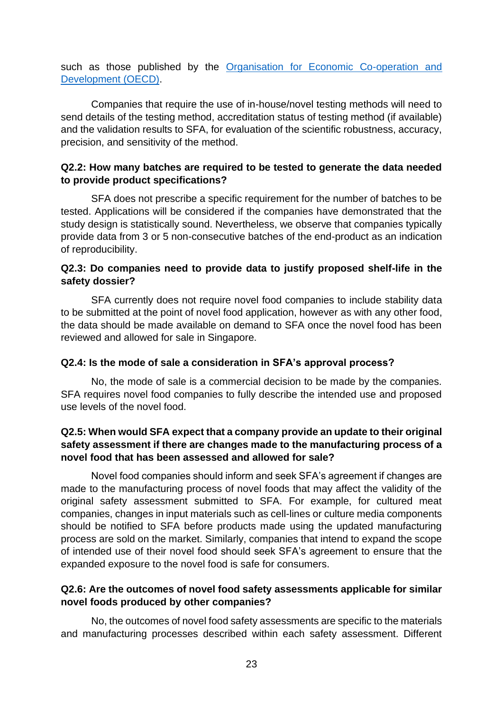such as those published by the [Organisation for Economic Co-operation and](https://www.oecd.org/chemicalsafety/testing/oecdguidelinesforthetestingofchemicals.htm)  [Development \(OECD\).](https://www.oecd.org/chemicalsafety/testing/oecdguidelinesforthetestingofchemicals.htm)

Companies that require the use of in-house/novel testing methods will need to send details of the testing method, accreditation status of testing method (if available) and the validation results to SFA, for evaluation of the scientific robustness, accuracy, precision, and sensitivity of the method.

#### **Q2.2: How many batches are required to be tested to generate the data needed to provide product specifications?**

SFA does not prescribe a specific requirement for the number of batches to be tested. Applications will be considered if the companies have demonstrated that the study design is statistically sound. Nevertheless, we observe that companies typically provide data from 3 or 5 non-consecutive batches of the end-product as an indication of reproducibility.

#### **Q2.3: Do companies need to provide data to justify proposed shelf-life in the safety dossier?**

SFA currently does not require novel food companies to include stability data to be submitted at the point of novel food application, however as with any other food, the data should be made available on demand to SFA once the novel food has been reviewed and allowed for sale in Singapore.

## **Q2.4: Is the mode of sale a consideration in SFA's approval process?**

No, the mode of sale is a commercial decision to be made by the companies. SFA requires novel food companies to fully describe the intended use and proposed use levels of the novel food.

## **Q2.5: When would SFA expect that a company provide an update to their original safety assessment if there are changes made to the manufacturing process of a novel food that has been assessed and allowed for sale?**

Novel food companies should inform and seek SFA's agreement if changes are made to the manufacturing process of novel foods that may affect the validity of the original safety assessment submitted to SFA. For example, for cultured meat companies, changes in input materials such as cell-lines or culture media components should be notified to SFA before products made using the updated manufacturing process are sold on the market. Similarly, companies that intend to expand the scope of intended use of their novel food should seek SFA's agreement to ensure that the expanded exposure to the novel food is safe for consumers.

## **Q2.6: Are the outcomes of novel food safety assessments applicable for similar novel foods produced by other companies?**

No, the outcomes of novel food safety assessments are specific to the materials and manufacturing processes described within each safety assessment. Different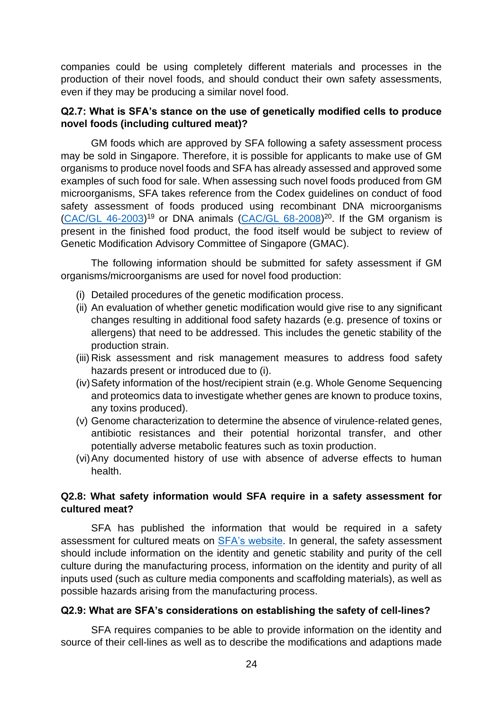companies could be using completely different materials and processes in the production of their novel foods, and should conduct their own safety assessments, even if they may be producing a similar novel food.

#### **Q2.7: What is SFA's stance on the use of genetically modified cells to produce novel foods (including cultured meat)?**

 GM foods which are approved by SFA following a safety assessment process may be sold in Singapore. Therefore, it is possible for applicants to make use of GM organisms to produce novel foods and SFA has already assessed and approved some examples of such food for sale. When assessing such novel foods produced from GM microorganisms, SFA takes reference from the Codex guidelines on conduct of food safety assessment of foods produced using recombinant DNA microorganisms  $(CAC/GL$  46-2003)<sup>19</sup> or DNA animals  $(CAC/GL$  68-2008)<sup>20</sup>. If the GM organism is present in the finished food product, the food itself would be subject to review of Genetic Modification Advisory Committee of Singapore (GMAC).

 The following information should be submitted for safety assessment if GM organisms/microorganisms are used for novel food production:

- (i) Detailed procedures of the genetic modification process.
- (ii) An evaluation of whether genetic modification would give rise to any significant changes resulting in additional food safety hazards (e.g. presence of toxins or allergens) that need to be addressed. This includes the genetic stability of the production strain.
- (iii) Risk assessment and risk management measures to address food safety hazards present or introduced due to (i).
- (iv)Safety information of the host/recipient strain (e.g. Whole Genome Sequencing and proteomics data to investigate whether genes are known to produce toxins, any toxins produced).
- (v) Genome characterization to determine the absence of virulence-related genes, antibiotic resistances and their potential horizontal transfer, and other potentially adverse metabolic features such as toxin production.
- (vi)Any documented history of use with absence of adverse effects to human health.

## **Q2.8: What safety information would SFA require in a safety assessment for cultured meat?**

SFA has published the information that would be required in a safety assessment for cultured meats on [SFA's website.](https://www.sfa.gov.sg/docs/default-source/food-import-and-export/Requirements-on-safety-assessment-of-novel-foods_23-Nov-2020.pdf) In general, the safety assessment should include information on the identity and genetic stability and purity of the cell culture during the manufacturing process, information on the identity and purity of all inputs used (such as culture media components and scaffolding materials), as well as possible hazards arising from the manufacturing process.

#### **Q2.9: What are SFA's considerations on establishing the safety of cell-lines?**

SFA requires companies to be able to provide information on the identity and source of their cell-lines as well as to describe the modifications and adaptions made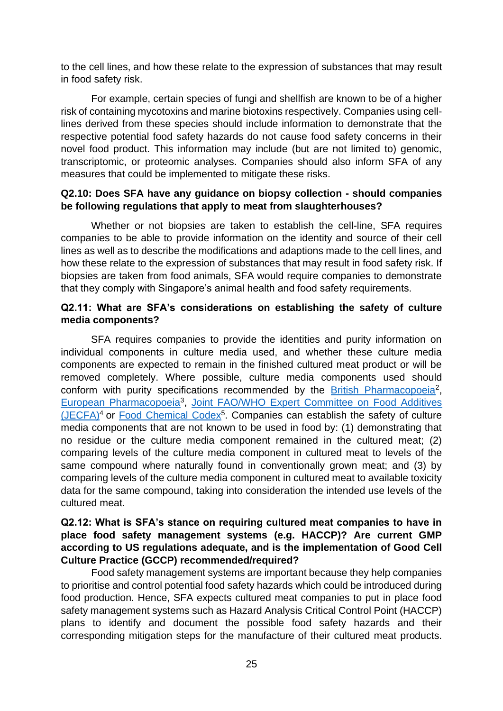to the cell lines, and how these relate to the expression of substances that may result in food safety risk.

For example, certain species of fungi and shellfish are known to be of a higher risk of containing mycotoxins and marine biotoxins respectively. Companies using celllines derived from these species should include information to demonstrate that the respective potential food safety hazards do not cause food safety concerns in their novel food product. This information may include (but are not limited to) genomic, transcriptomic, or proteomic analyses. Companies should also inform SFA of any measures that could be implemented to mitigate these risks.

#### **Q2.10: Does SFA have any guidance on biopsy collection - should companies be following regulations that apply to meat from slaughterhouses?**

Whether or not biopsies are taken to establish the cell-line, SFA requires companies to be able to provide information on the identity and source of their cell lines as well as to describe the modifications and adaptions made to the cell lines, and how these relate to the expression of substances that may result in food safety risk. If biopsies are taken from food animals, SFA would require companies to demonstrate that they comply with Singapore's animal health and food safety requirements.

#### **Q2.11: What are SFA's considerations on establishing the safety of culture media components?**

 SFA requires companies to provide the identities and purity information on individual components in culture media used, and whether these culture media components are expected to remain in the finished cultured meat product or will be removed completely. Where possible, culture media components used should conform with purity specifications recommended by the [British Pharmacopoeia](https://www.pharmacopoeia.com/)<sup>2</sup>, [European Pharmacopoeia](https://www.edqm.eu/en/european-pharmacopoeia-ph-eur-10th-edition)<sup>3</sup>, Joint FAO/WHO Expert Committee on Food Additives [\(JECFA\)](https://www.fao.org/food/food-safety-quality/scientific-advice/jecfa/jecfa-additives/en/)<sup>4</sup> or **Food Chemical Codex<sup>5</sup>. Companies can establish the safety of culture** media components that are not known to be used in food by: (1) demonstrating that no residue or the culture media component remained in the cultured meat; (2) comparing levels of the culture media component in cultured meat to levels of the same compound where naturally found in conventionally grown meat; and (3) by comparing levels of the culture media component in cultured meat to available toxicity data for the same compound, taking into consideration the intended use levels of the cultured meat.

#### **Q2.12: What is SFA's stance on requiring cultured meat companies to have in place food safety management systems (e.g. HACCP)? Are current GMP according to US regulations adequate, and is the implementation of Good Cell Culture Practice (GCCP) recommended/required?**

Food safety management systems are important because they help companies to prioritise and control potential food safety hazards which could be introduced during food production. Hence, SFA expects cultured meat companies to put in place food safety management systems such as Hazard Analysis Critical Control Point (HACCP) plans to identify and document the possible food safety hazards and their corresponding mitigation steps for the manufacture of their cultured meat products.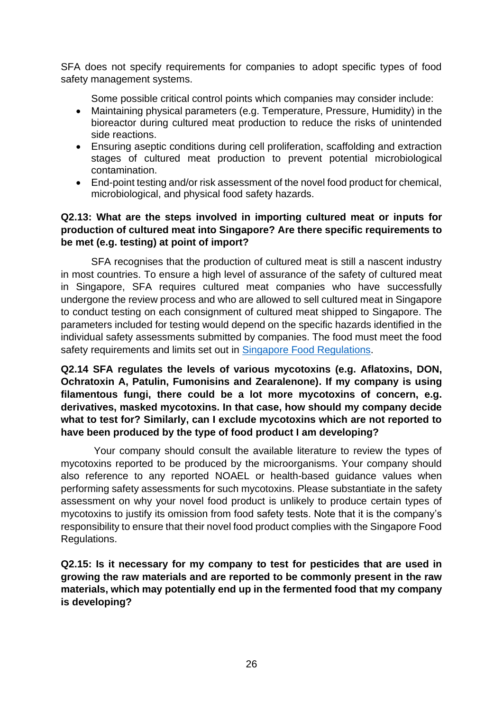SFA does not specify requirements for companies to adopt specific types of food safety management systems.

Some possible critical control points which companies may consider include:

- Maintaining physical parameters (e.g. Temperature, Pressure, Humidity) in the bioreactor during cultured meat production to reduce the risks of unintended side reactions.
- Ensuring aseptic conditions during cell proliferation, scaffolding and extraction stages of cultured meat production to prevent potential microbiological contamination.
- End-point testing and/or risk assessment of the novel food product for chemical, microbiological, and physical food safety hazards.

## **Q2.13: What are the steps involved in importing cultured meat or inputs for production of cultured meat into Singapore? Are there specific requirements to be met (e.g. testing) at point of import?**

SFA recognises that the production of cultured meat is still a nascent industry in most countries. To ensure a high level of assurance of the safety of cultured meat in Singapore, SFA requires cultured meat companies who have successfully undergone the review process and who are allowed to sell cultured meat in Singapore to conduct testing on each consignment of cultured meat shipped to Singapore. The parameters included for testing would depend on the specific hazards identified in the individual safety assessments submitted by companies. The food must meet the food safety requirements and limits set out in [Singapore Food Regulations.](https://sso.agc.gov.sg/SL/SFA1973-RG1)

**Q2.14 SFA regulates the levels of various mycotoxins (e.g. Aflatoxins, DON, Ochratoxin A, Patulin, Fumonisins and Zearalenone). If my company is using filamentous fungi, there could be a lot more mycotoxins of concern, e.g. derivatives, masked mycotoxins. In that case, how should my company decide what to test for? Similarly, can I exclude mycotoxins which are not reported to have been produced by the type of food product I am developing?**

 Your company should consult the available literature to review the types of mycotoxins reported to be produced by the microorganisms. Your company should also reference to any reported NOAEL or health-based guidance values when performing safety assessments for such mycotoxins. Please substantiate in the safety assessment on why your novel food product is unlikely to produce certain types of mycotoxins to justify its omission from food safety tests. Note that it is the company's responsibility to ensure that their novel food product complies with the Singapore Food Regulations.

**Q2.15: Is it necessary for my company to test for pesticides that are used in growing the raw materials and are reported to be commonly present in the raw materials, which may potentially end up in the fermented food that my company is developing?**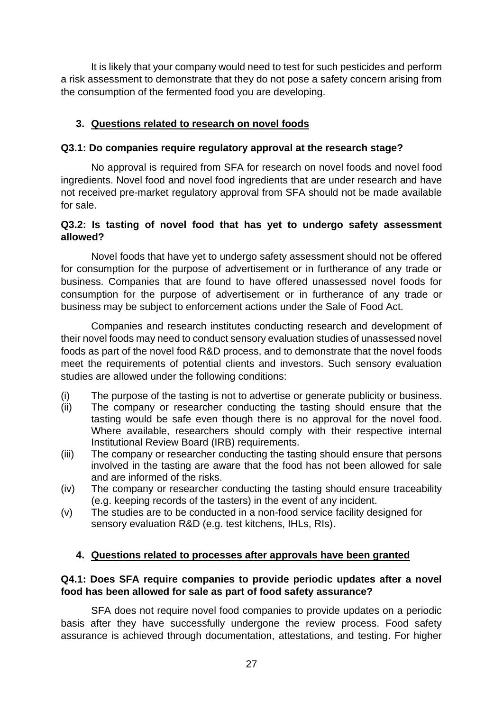It is likely that your company would need to test for such pesticides and perform a risk assessment to demonstrate that they do not pose a safety concern arising from the consumption of the fermented food you are developing.

## **3. Questions related to research on novel foods**

#### **Q3.1: Do companies require regulatory approval at the research stage?**

No approval is required from SFA for research on novel foods and novel food ingredients. Novel food and novel food ingredients that are under research and have not received pre-market regulatory approval from SFA should not be made available for sale.

#### **Q3.2: Is tasting of novel food that has yet to undergo safety assessment allowed?**

Novel foods that have yet to undergo safety assessment should not be offered for consumption for the purpose of advertisement or in furtherance of any trade or business. Companies that are found to have offered unassessed novel foods for consumption for the purpose of advertisement or in furtherance of any trade or business may be subject to enforcement actions under the Sale of Food Act.

Companies and research institutes conducting research and development of their novel foods may need to conduct sensory evaluation studies of unassessed novel foods as part of the novel food R&D process, and to demonstrate that the novel foods meet the requirements of potential clients and investors. Such sensory evaluation studies are allowed under the following conditions:

- (i) The purpose of the tasting is not to advertise or generate publicity or business.
- (ii) The company or researcher conducting the tasting should ensure that the tasting would be safe even though there is no approval for the novel food. Where available, researchers should comply with their respective internal Institutional Review Board (IRB) requirements.
- (iii) The company or researcher conducting the tasting should ensure that persons involved in the tasting are aware that the food has not been allowed for sale and are informed of the risks.
- (iv) The company or researcher conducting the tasting should ensure traceability (e.g. keeping records of the tasters) in the event of any incident.
- (v) The studies are to be conducted in a non-food service facility designed for sensory evaluation R&D (e.g. test kitchens, IHLs, RIs).

## **4. Questions related to processes after approvals have been granted**

#### **Q4.1: Does SFA require companies to provide periodic updates after a novel food has been allowed for sale as part of food safety assurance?**

SFA does not require novel food companies to provide updates on a periodic basis after they have successfully undergone the review process. Food safety assurance is achieved through documentation, attestations, and testing. For higher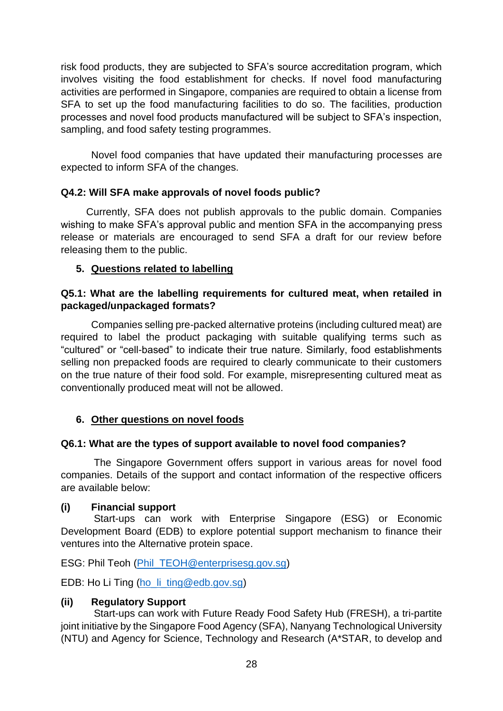risk food products, they are subjected to SFA's source accreditation program, which involves visiting the food establishment for checks. If novel food manufacturing activities are performed in Singapore, companies are required to obtain a license from SFA to set up the food manufacturing facilities to do so. The facilities, production processes and novel food products manufactured will be subject to SFA's inspection, sampling, and food safety testing programmes.

Novel food companies that have updated their manufacturing processes are expected to inform SFA of the changes.

## **Q4.2: Will SFA make approvals of novel foods public?**

 Currently, SFA does not publish approvals to the public domain. Companies wishing to make SFA's approval public and mention SFA in the accompanying press release or materials are encouraged to send SFA a draft for our review before releasing them to the public.

## **5. Questions related to labelling**

#### **Q5.1: What are the labelling requirements for cultured meat, when retailed in packaged/unpackaged formats?**

Companies selling pre-packed alternative proteins (including cultured meat) are required to label the product packaging with suitable qualifying terms such as "cultured" or "cell-based" to indicate their true nature. Similarly, food establishments selling non prepacked foods are required to clearly communicate to their customers on the true nature of their food sold. For example, misrepresenting cultured meat as conventionally produced meat will not be allowed.

## **6. Other questions on novel foods**

## **Q6.1: What are the types of support available to novel food companies?**

 The Singapore Government offers support in various areas for novel food companies. Details of the support and contact information of the respective officers are available below:

## **(i) Financial support**

 Start-ups can work with Enterprise Singapore (ESG) or Economic Development Board (EDB) to explore potential support mechanism to finance their ventures into the Alternative protein space.

ESG: Phil Teoh [\(Phil\\_TEOH@enterprisesg.gov.sg\)](mailto:Phil_TEOH@enterprisesg.gov.sg)

EDB: Ho Li Ting [\(ho\\_li\\_ting@edb.gov.sg\)](mailto:ho_li_ting@edb.gov.sg)

## **(ii) Regulatory Support**

 Start-ups can work with Future Ready Food Safety Hub (FRESH), a tri-partite joint initiative by the Singapore Food Agency (SFA), Nanyang Technological University (NTU) and Agency for Science, Technology and Research (A\*STAR, to develop and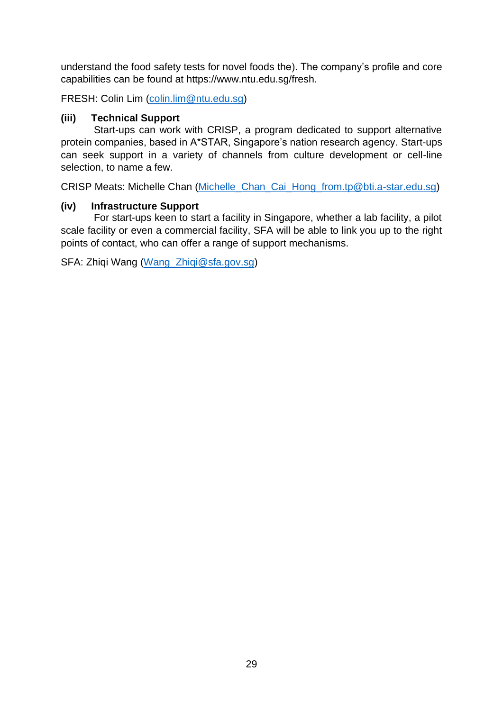understand the food safety tests for novel foods the). The company's profile and core capabilities can be found at https://www.ntu.edu.sg/fresh.

FRESH: Colin Lim [\(colin.lim@ntu.edu.sg\)](mailto:colin.lim@ntu.edu.sg)

## **(iii) Technical Support**

 Start-ups can work with CRISP, a program dedicated to support alternative protein companies, based in A\*STAR, Singapore's nation research agency. Start-ups can seek support in a variety of channels from culture development or cell-line selection, to name a few.

CRISP Meats: Michelle Chan [\(Michelle\\_Chan\\_Cai\\_Hong\\_from.tp@bti.a-star.edu.sg\)](mailto:Michelle_Chan_Cai_Hong_from.tp@bti.a-star.edu.sg)

## **(iv) Infrastructure Support**

 For start-ups keen to start a facility in Singapore, whether a lab facility, a pilot scale facility or even a commercial facility, SFA will be able to link you up to the right points of contact, who can offer a range of support mechanisms.

SFA: Zhiqi Wang [\(Wang\\_Zhiqi@sfa.gov.sg\)](mailto:Wang_Zhiqi@sfa.gov.sg)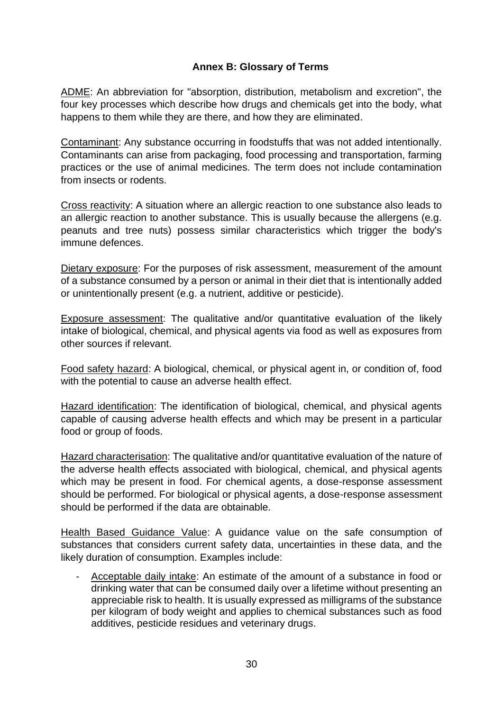## **Annex B: Glossary of Terms**

<span id="page-29-0"></span>ADME: An abbreviation for "absorption, distribution, metabolism and excretion", the four key processes which describe how drugs and chemicals get into the body, what happens to them while they are there, and how they are eliminated.

Contaminant: Any substance occurring in foodstuffs that was not added intentionally. Contaminants can arise from packaging, food processing and transportation, farming practices or the use of animal medicines. The term does not include contamination from insects or rodents.

Cross reactivity: A situation where an allergic reaction to one substance also leads to an allergic reaction to another substance. This is usually because the allergens (e.g. peanuts and tree nuts) possess similar characteristics which trigger the body's immune defences.

Dietary exposure: For the purposes of risk assessment, measurement of the amount of a substance consumed by a person or animal in their diet that is intentionally added or unintentionally present (e.g. a nutrient, additive or pesticide).

Exposure assessment: The qualitative and/or quantitative evaluation of the likely intake of biological, chemical, and physical agents via food as well as exposures from other sources if relevant.

Food safety hazard: A biological, chemical, or physical agent in, or condition of, food with the potential to cause an adverse health effect.

Hazard identification: The identification of biological, chemical, and physical agents capable of causing adverse health effects and which may be present in a particular food or group of foods.

Hazard characterisation: The qualitative and/or quantitative evaluation of the nature of the adverse health effects associated with biological, chemical, and physical agents which may be present in food. For chemical agents, a dose-response assessment should be performed. For biological or physical agents, a dose-response assessment should be performed if the data are obtainable.

Health Based Guidance Value: A guidance value on the safe consumption of substances that considers current safety data, uncertainties in these data, and the likely duration of consumption. Examples include:

Acceptable daily intake: An estimate of the amount of a substance in food or drinking water that can be consumed daily over a lifetime without presenting an appreciable risk to health. It is usually expressed as milligrams of the substance per kilogram of body weight and applies to chemical substances such as food additives, pesticide residues and veterinary drugs.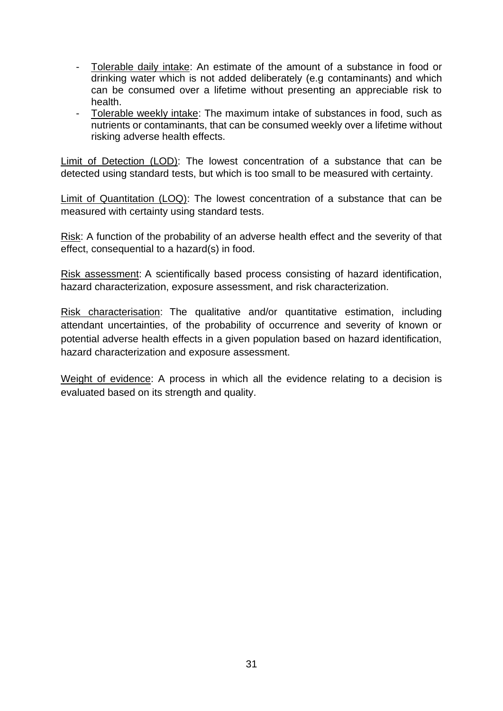- Tolerable daily intake: An estimate of the amount of a substance in food or drinking water which is not added deliberately (e.g contaminants) and which can be consumed over a lifetime without presenting an appreciable risk to health.
- Tolerable weekly intake: The maximum intake of substances in food, such as nutrients or contaminants, that can be consumed weekly over a lifetime without risking adverse health effects.

Limit of Detection (LOD): The lowest concentration of a substance that can be detected using standard tests, but which is too small to be measured with certainty.

Limit of Quantitation (LOQ): The lowest concentration of a substance that can be measured with certainty using standard tests.

Risk: A function of the probability of an adverse health effect and the severity of that effect, consequential to a hazard(s) in food.

Risk assessment: A scientifically based process consisting of hazard identification, hazard characterization, exposure assessment, and risk characterization.

Risk characterisation: The qualitative and/or quantitative estimation, including attendant uncertainties, of the probability of occurrence and severity of known or potential adverse health effects in a given population based on hazard identification, hazard characterization and exposure assessment.

Weight of evidence: A process in which all the evidence relating to a decision is evaluated based on its strength and quality.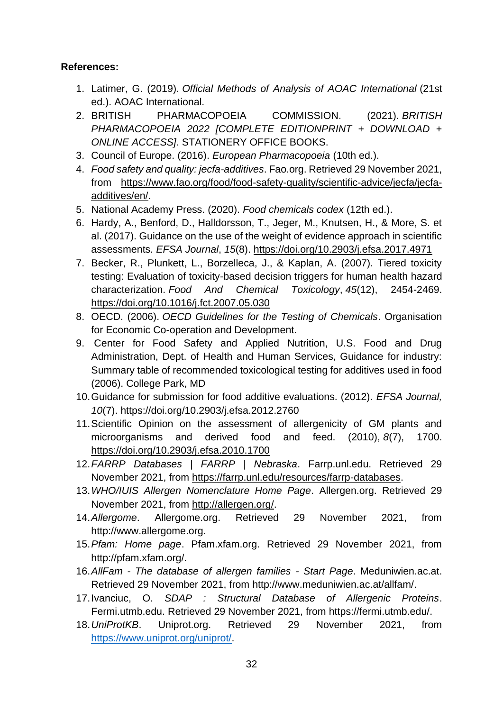## **References:**

- 1. Latimer, G. (2019). *Official Methods of Analysis of AOAC International* (21st ed.). AOAC International.
- 2. BRITISH PHARMACOPOEIA COMMISSION. (2021). *BRITISH PHARMACOPOEIA 2022 [COMPLETE EDITIONPRINT + DOWNLOAD + ONLINE ACCESS]*. STATIONERY OFFICE BOOKS.
- 3. Council of Europe. (2016). *European Pharmacopoeia* (10th ed.).
- 4. *Food safety and quality: jecfa-additives*. Fao.org. Retrieved 29 November 2021, from [https://www.fao.org/food/food-safety-quality/scientific-advice/jecfa/jecfa](https://www.fao.org/food/food-safety-quality/scientific-advice/jecfa/jecfa-additives/en/)[additives/en/.](https://www.fao.org/food/food-safety-quality/scientific-advice/jecfa/jecfa-additives/en/)
- 5. National Academy Press. (2020). *Food chemicals codex* (12th ed.).
- 6. Hardy, A., Benford, D., Halldorsson, T., Jeger, M., Knutsen, H., & More, S. et al. (2017). Guidance on the use of the weight of evidence approach in scientific assessments. *EFSA Journal*, *15*(8).<https://doi.org/10.2903/j.efsa.2017.4971>
- 7. Becker, R., Plunkett, L., Borzelleca, J., & Kaplan, A. (2007). Tiered toxicity testing: Evaluation of toxicity-based decision triggers for human health hazard characterization. *Food And Chemical Toxicology*, *45*(12), 2454-2469. <https://doi.org/10.1016/j.fct.2007.05.030>
- 8. OECD. (2006). *OECD Guidelines for the Testing of Chemicals*. Organisation for Economic Co-operation and Development.
- 9. Center for Food Safety and Applied Nutrition, U.S. Food and Drug Administration, Dept. of Health and Human Services, Guidance for industry: Summary table of recommended toxicological testing for additives used in food (2006). College Park, MD
- 10.Guidance for submission for food additive evaluations. (2012). *EFSA Journal, 10*(7). https://doi.org/10.2903/j.efsa.2012.2760
- 11.Scientific Opinion on the assessment of allergenicity of GM plants and microorganisms and derived food and feed. (2010), *8*(7), 1700. <https://doi.org/10.2903/j.efsa.2010.1700>
- 12.*FARRP Databases | FARRP | Nebraska*. Farrp.unl.edu. Retrieved 29 November 2021, from [https://farrp.unl.edu/resources/farrp-databases.](https://farrp.unl.edu/resources/farrp-databases)
- 13.*WHO/IUIS Allergen Nomenclature Home Page*. Allergen.org. Retrieved 29 November 2021, from [http://allergen.org/.](http://allergen.org/)
- 14.*Allergome*. Allergome.org. Retrieved 29 November 2021, from http://www.allergome.org.
- 15.*Pfam: Home page*. Pfam.xfam.org. Retrieved 29 November 2021, from http://pfam.xfam.org/.
- 16.*AllFam - The database of allergen families - Start Page*. Meduniwien.ac.at. Retrieved 29 November 2021, from http://www.meduniwien.ac.at/allfam/.
- 17.Ivanciuc, O. *SDAP : Structural Database of Allergenic Proteins*. Fermi.utmb.edu. Retrieved 29 November 2021, from https://fermi.utmb.edu/.
- 18.*UniProtKB*. Uniprot.org. Retrieved 29 November 2021, from [https://www.uniprot.org/uniprot/.](https://www.uniprot.org/uniprot/)